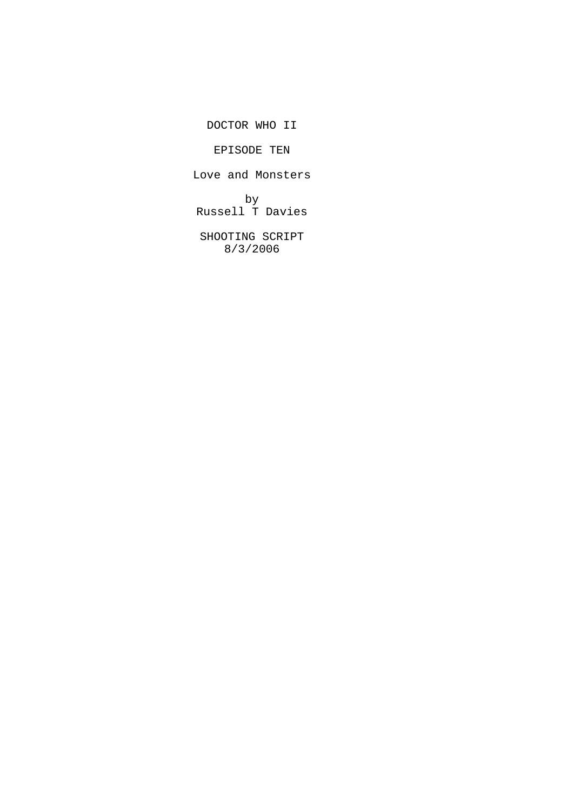DOCTOR WHO II

EPISODE TEN

Love and Monsters

by Russell T Davies

SHOOTING SCRIPT 8/3/2006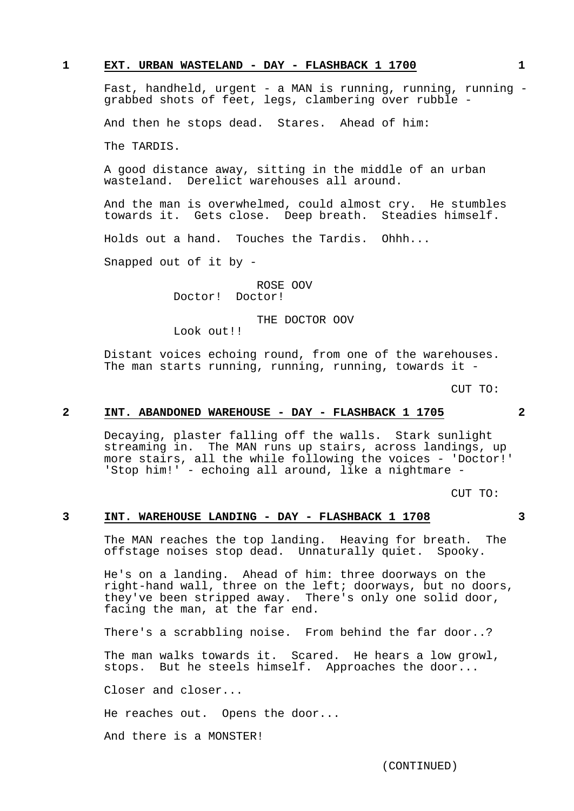## **1 EXT. URBAN WASTELAND - DAY - FLASHBACK 1 1700 1**

Fast, handheld, urgent - a MAN is running, running, running grabbed shots of feet, legs, clambering over rubble -

And then he stops dead. Stares. Ahead of him:

The TARDIS.

A good distance away, sitting in the middle of an urban wasteland. Derelict warehouses all around.

And the man is overwhelmed, could almost cry. He stumbles towards it. Gets close. Deep breath. Steadies himself.

Holds out a hand. Touches the Tardis. Ohhh...

Snapped out of it by -

ROSE OOV Doctor! Doctor!

THE DOCTOR OOV

Look out!!

Distant voices echoing round, from one of the warehouses. The man starts running, running, running, towards it -

CUT TO:

#### **2 INT. ABANDONED WAREHOUSE - DAY - FLASHBACK 1 1705 2**

Decaying, plaster falling off the walls. Stark sunlight streaming in. The MAN runs up stairs, across landings, up more stairs, all the while following the voices - 'Doctor!' 'Stop him!' - echoing all around, like a nightmare -

CUT TO:

## **3 INT. WAREHOUSE LANDING - DAY - FLASHBACK 1 1708 3**

The MAN reaches the top landing. Heaving for breath. The offstage noises stop dead. Unnaturally quiet. Spooky.

He's on a landing. Ahead of him: three doorways on the right-hand wall, three on the left; doorways, but no doors, they've been stripped away. There's only one solid door, facing the man, at the far end.

There's a scrabbling noise. From behind the far door..?

The man walks towards it. Scared. He hears a low growl, stops. But he steels himself. Approaches the door...

Closer and closer...

He reaches out. Opens the door...

And there is a MONSTER!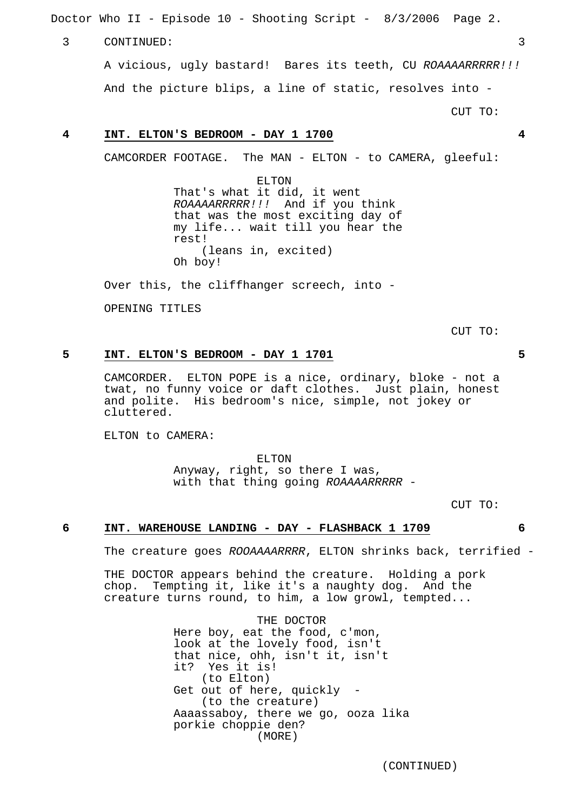Doctor Who II - Episode 10 - Shooting Script - 8/3/2006 Page 2.

#### 3 CONTINUED: 3

A vicious, ugly bastard! Bares its teeth, CU ROAAAARRRRR!!! And the picture blips, a line of static, resolves into -

CUT TO:

## **4 INT. ELTON'S BEDROOM - DAY 1 1700 4**

CAMCORDER FOOTAGE. The MAN - ELTON - to CAMERA, gleeful:

ELTON That's what it did, it went ROAAAARRRRR!!! And if you think that was the most exciting day of my life... wait till you hear the rest! (leans in, excited) Oh boy!

Over this, the cliffhanger screech, into -

OPENING TITLES

CUT TO:

## **5 INT. ELTON'S BEDROOM - DAY 1 1701 5**

CAMCORDER. ELTON POPE is a nice, ordinary, bloke - not a twat, no funny voice or daft clothes. Just plain, honest and polite. His bedroom's nice, simple, not jokey or cluttered.

ELTON to CAMERA:

ELTON Anyway, right, so there I was, with that thing going ROAAAARRRRR -

CUT TO:

## **6 INT. WAREHOUSE LANDING - DAY - FLASHBACK 1 1709 6**

The creature goes ROOAAAARRRR, ELTON shrinks back, terrified -

THE DOCTOR appears behind the creature. Holding a pork chop. Tempting it, like it's a naughty dog. And the creature turns round, to him, a low growl, tempted...

> THE DOCTOR Here boy, eat the food, c'mon, look at the lovely food, isn't that nice, ohh, isn't it, isn't it? Yes it is! (to Elton) Get out of here, quickly -(to the creature) Aaaassaboy, there we go, ooza lika porkie choppie den? (MORE)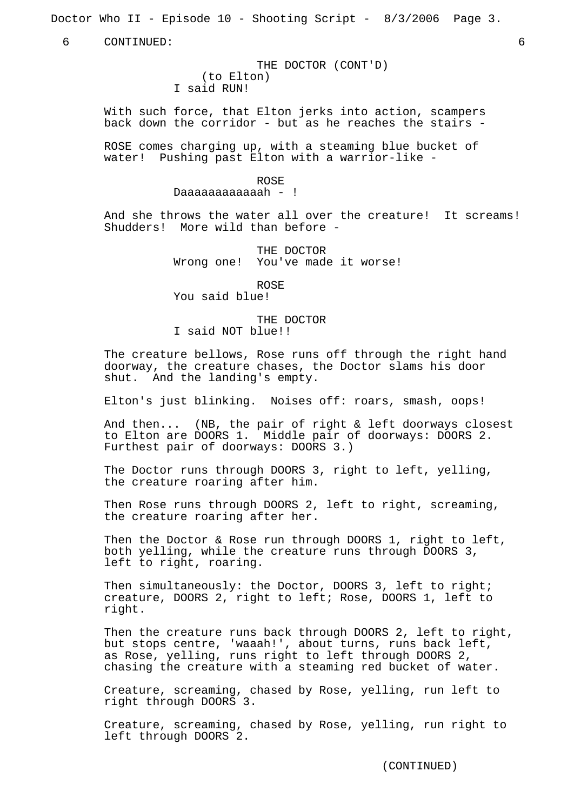Doctor Who II - Episode 10 - Shooting Script - 8/3/2006 Page 3.

6 CONTINUED: 6

THE DOCTOR (CONT'D) (to Elton) I said RUN!

With such force, that Elton jerks into action, scampers back down the corridor - but as he reaches the stairs -

ROSE comes charging up, with a steaming blue bucket of water! Pushing past Elton with a warrior-like -

ROSE

Daaaaaaaaaaah - !

And she throws the water all over the creature! It screams! Shudders! More wild than before -

> THE DOCTOR Wrong one! You've made it worse!

> > ROSE

You said blue!

THE DOCTOR I said NOT blue!!

The creature bellows, Rose runs off through the right hand doorway, the creature chases, the Doctor slams his door shut. And the landing's empty.

Elton's just blinking. Noises off: roars, smash, oops!

And then... (NB, the pair of right & left doorways closest to Elton are DOORS 1. Middle pair of doorways: DOORS 2. Furthest pair of doorways: DOORS 3.)

The Doctor runs through DOORS 3, right to left, yelling, the creature roaring after him.

Then Rose runs through DOORS 2, left to right, screaming, the creature roaring after her.

Then the Doctor & Rose run through DOORS 1, right to left, both yelling, while the creature runs through DOORS 3, left to right, roaring.

Then simultaneously: the Doctor, DOORS 3, left to right; creature, DOORS 2, right to left; Rose, DOORS 1, left to right.

Then the creature runs back through DOORS 2, left to right, but stops centre, 'waaah!', about turns, runs back left, as Rose, yelling, runs right to left through DOORS 2, chasing the creature with a steaming red bucket of water.

Creature, screaming, chased by Rose, yelling, run left to right through DOORS 3.

Creature, screaming, chased by Rose, yelling, run right to left through DOORS 2.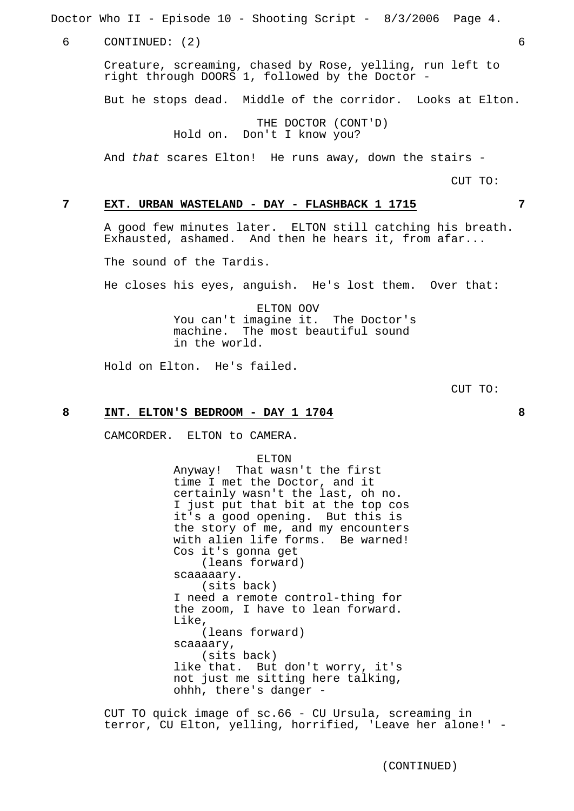Doctor Who II - Episode 10 - Shooting Script - 8/3/2006 Page 4.

6 CONTINUED: (2) 6

Creature, screaming, chased by Rose, yelling, run left to right through DOORS 1, followed by the Doctor -

But he stops dead. Middle of the corridor. Looks at Elton.

THE DOCTOR (CONT'D) Hold on. Don't I know you?

And that scares Elton! He runs away, down the stairs -

CUT TO:

## **7 EXT. URBAN WASTELAND - DAY - FLASHBACK 1 1715 7**

A good few minutes later. ELTON still catching his breath. Exhausted, ashamed. And then he hears it, from afar...

The sound of the Tardis.

He closes his eyes, anguish. He's lost them. Over that:

ELTON OOV You can't imagine it. The Doctor's machine. The most beautiful sound in the world.

Hold on Elton. He's failed.

CUT TO:

#### **8 INT. ELTON'S BEDROOM - DAY 1 1704 8**

CAMCORDER. ELTON to CAMERA.

ELTON

Anyway! That wasn't the first time I met the Doctor, and it certainly wasn't the last, oh no. I just put that bit at the top cos it's a good opening. But this is the story of me, and my encounters with alien life forms. Be warned! Cos it's gonna get (leans forward) scaaaaary. (sits back) I need a remote control-thing for the zoom, I have to lean forward. Like, (leans forward) scaaaary, (sits back) like that. But don't worry, it's not just me sitting here talking, ohhh, there's danger -

CUT TO quick image of sc.66 - CU Ursula, screaming in terror, CU Elton, yelling, horrified, 'Leave her alone!' -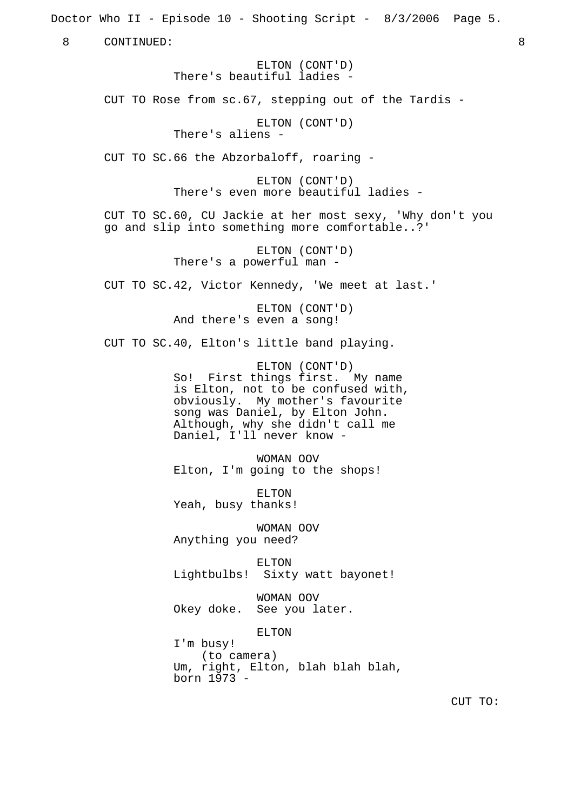Doctor Who II - Episode 10 - Shooting Script - 8/3/2006 Page 5. 8 CONTINUED: 8 ELTON (CONT'D) There's beautiful ladies - CUT TO Rose from sc.67, stepping out of the Tardis - ELTON (CONT'D) There's aliens - CUT TO SC.66 the Abzorbaloff, roaring - ELTON (CONT'D) There's even more beautiful ladies - CUT TO SC.60, CU Jackie at her most sexy, 'Why don't you go and slip into something more comfortable..?' ELTON (CONT'D) There's a powerful man - CUT TO SC.42, Victor Kennedy, 'We meet at last.' ELTON (CONT'D) And there's even a song! CUT TO SC.40, Elton's little band playing. ELTON (CONT'D) So! First things first. My name is Elton, not to be confused with, obviously. My mother's favourite song was Daniel, by Elton John. Although, why she didn't call me Daniel, I'll never know - WOMAN OOV Elton, I'm going to the shops! ELTON Yeah, busy thanks! WOMAN OOV Anything you need? ELTON Lightbulbs! Sixty watt bayonet! WOMAN OOV Okey doke. See you later. ELTON I'm busy! (to camera) Um, right, Elton, blah blah blah, born 1973 - CUT TO: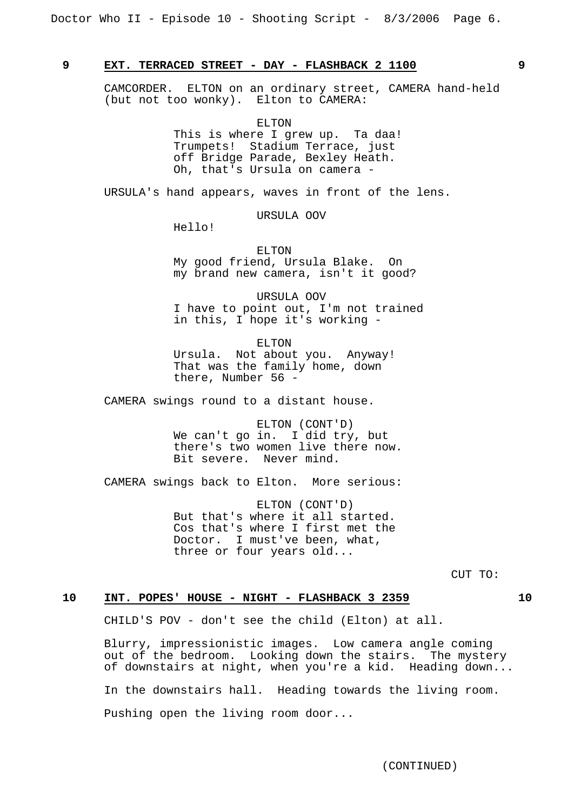## **9 EXT. TERRACED STREET - DAY - FLASHBACK 2 1100 9**

CAMCORDER. ELTON on an ordinary street, CAMERA hand-held (but not too wonky). Elton to CAMERA:

> ELTON This is where I grew up. Ta daa! Trumpets! Stadium Terrace, just off Bridge Parade, Bexley Heath. Oh, that's Ursula on camera -

URSULA's hand appears, waves in front of the lens.

URSULA OOV

Hello!

ELTON My good friend, Ursula Blake. On my brand new camera, isn't it good?

URSULA OOV I have to point out, I'm not trained in this, I hope it's working -

ELTON Ursula. Not about you. Anyway! That was the family home, down there, Number 56 -

CAMERA swings round to a distant house.

ELTON (CONT'D) We can't go in. I did try, but there's two women live there now. Bit severe. Never mind.

CAMERA swings back to Elton. More serious:

ELTON (CONT'D) But that's where it all started. Cos that's where I first met the Doctor. I must've been, what, three or four years old...

CUT TO:

## **10 INT. POPES' HOUSE - NIGHT - FLASHBACK 3 2359 10**

CHILD'S POV - don't see the child (Elton) at all.

Blurry, impressionistic images. Low camera angle coming out of the bedroom. Looking down the stairs. The mystery of downstairs at night, when you're a kid. Heading down... In the downstairs hall. Heading towards the living room. Pushing open the living room door...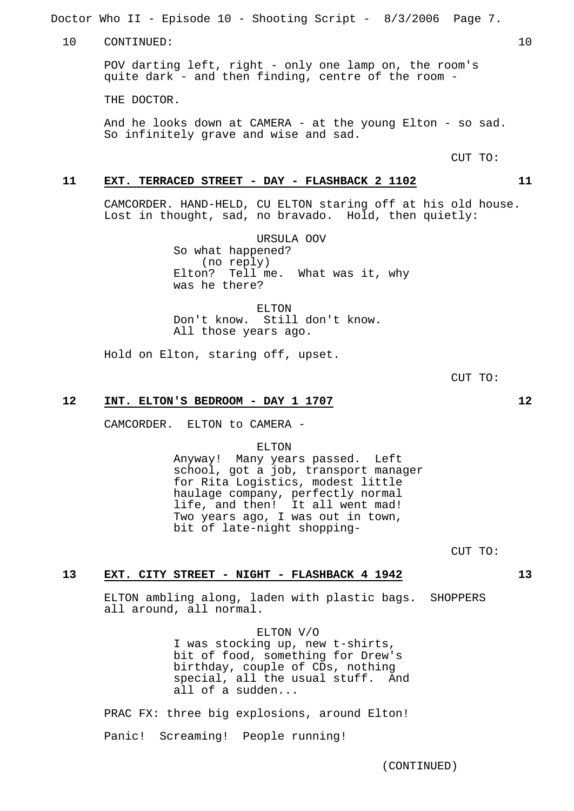Doctor Who II - Episode 10 - Shooting Script - 8/3/2006 Page 7.

10 CONTINUED: 10

POV darting left, right - only one lamp on, the room's quite dark - and then finding, centre of the room -

THE DOCTOR.

And he looks down at CAMERA - at the young Elton - so sad. So infinitely grave and wise and sad.

CUT TO:

## **11 EXT. TERRACED STREET - DAY - FLASHBACK 2 1102 11**

CAMCORDER. HAND-HELD, CU ELTON staring off at his old house. Lost in thought, sad, no bravado. Hold, then quietly:

> URSULA OOV So what happened? (no reply) Elton? Tell me. What was it, why was he there?

ELTON Don't know. Still don't know. All those years ago.

Hold on Elton, staring off, upset.

CUT TO:

#### **12 INT. ELTON'S BEDROOM - DAY 1 1707 12**

CAMCORDER. ELTON to CAMERA -

ELTON

Anyway! Many years passed. Left school, got a job, transport manager for Rita Logistics, modest little haulage company, perfectly normal life, and then! It all went mad! Two years ago, I was out in town, bit of late-night shopping-

CUT TO:

#### **13 EXT. CITY STREET - NIGHT - FLASHBACK 4 1942 13**

ELTON ambling along, laden with plastic bags. SHOPPERS all around, all normal.

> ELTON V/O I was stocking up, new t-shirts, bit of food, something for Drew's birthday, couple of CDs, nothing special, all the usual stuff. And all of a sudden...

PRAC FX: three big explosions, around Elton!

Panic! Screaming! People running!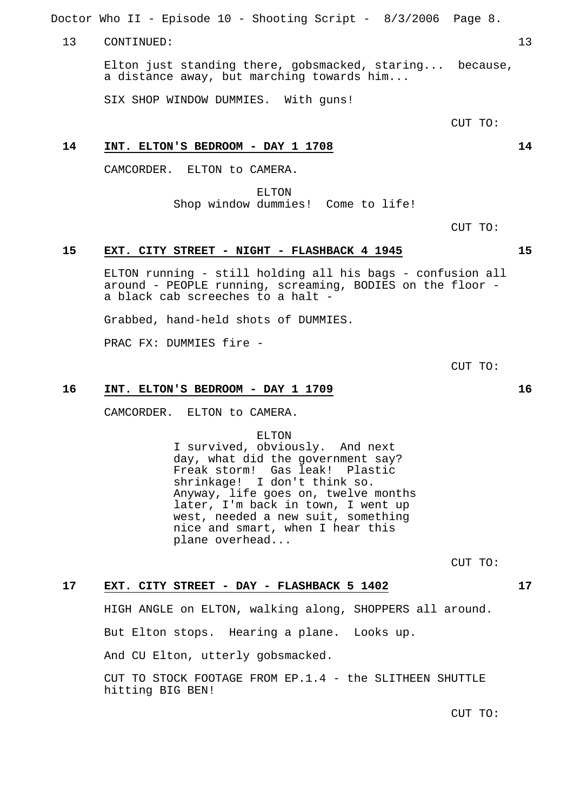Doctor Who II - Episode 10 - Shooting Script - 8/3/2006 Page 8.

#### 13 CONTINUED: 13

Elton just standing there, gobsmacked, staring... because, a distance away, but marching towards him...

SIX SHOP WINDOW DUMMIES. With guns!

CUT TO:

## **14 INT. ELTON'S BEDROOM - DAY 1 1708 14**

CAMCORDER. ELTON to CAMERA.

ELTON Shop window dummies! Come to life!

CUT TO:

## **15 EXT. CITY STREET - NIGHT - FLASHBACK 4 1945 15**

ELTON running - still holding all his bags - confusion all around - PEOPLE running, screaming, BODIES on the floor a black cab screeches to a halt -

Grabbed, hand-held shots of DUMMIES.

PRAC FX: DUMMIES fire -

CUT TO:

## **16 INT. ELTON'S BEDROOM - DAY 1 1709 16**

CAMCORDER. ELTON to CAMERA.

ELTON

I survived, obviously. And next day, what did the government say? Freak storm! Gas leak! Plastic shrinkage! I don't think so. Anyway, life goes on, twelve months later, I'm back in town, I went up west, needed a new suit, something nice and smart, when I hear this plane overhead...

CUT TO:

## **17 EXT. CITY STREET - DAY - FLASHBACK 5 1402 17**

HIGH ANGLE on ELTON, walking along, SHOPPERS all around. But Elton stops. Hearing a plane. Looks up. And CU Elton, utterly gobsmacked. CUT TO STOCK FOOTAGE FROM EP.1.4 - the SLITHEEN SHUTTLE hitting BIG BEN!

CUT TO: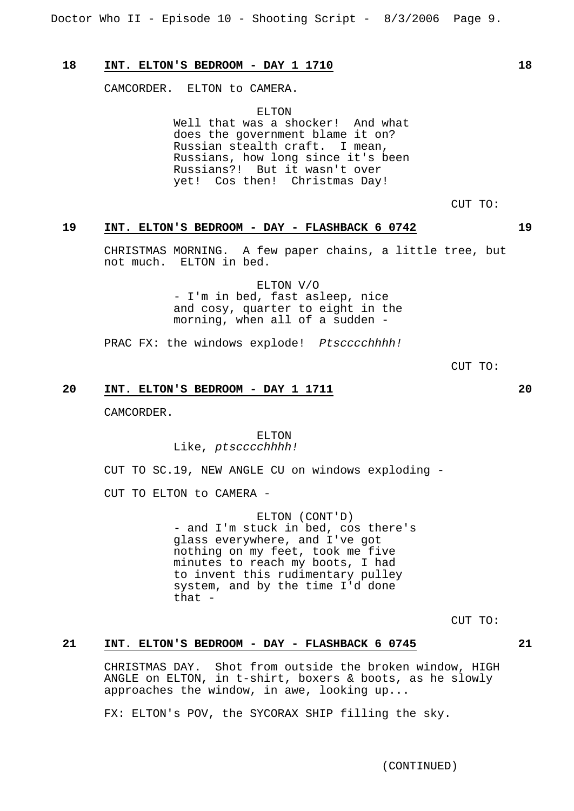## **18 INT. ELTON'S BEDROOM - DAY 1 1710 18**

CAMCORDER. ELTON to CAMERA.

ELTON Well that was a shocker! And what does the government blame it on? Russian stealth craft. I mean, Russians, how long since it's been Russians?! But it wasn't over yet! Cos then! Christmas Day!

CUT TO:

## **19 INT. ELTON'S BEDROOM - DAY - FLASHBACK 6 0742 19**

CHRISTMAS MORNING. A few paper chains, a little tree, but not much. ELTON in bed.

> ELTON V/O - I'm in bed, fast asleep, nice and cosy, quarter to eight in the morning, when all of a sudden -

PRAC FX: the windows explode! Ptscccchhhh!

CUT TO:

## **20 INT. ELTON'S BEDROOM - DAY 1 1711 20**

CAMCORDER.

## ELTON Like, ptscccchhhh!

CUT TO SC.19, NEW ANGLE CU on windows exploding -

CUT TO ELTON to CAMERA -

ELTON (CONT'D) - and I'm stuck in bed, cos there's glass everywhere, and I've got nothing on my feet, took me five minutes to reach my boots, I had to invent this rudimentary pulley system, and by the time I'd done that -

CUT TO:

## **21 INT. ELTON'S BEDROOM - DAY - FLASHBACK 6 0745 21**

CHRISTMAS DAY. Shot from outside the broken window, HIGH ANGLE on ELTON, in t-shirt, boxers & boots, as he slowly approaches the window, in awe, looking up...

FX: ELTON's POV, the SYCORAX SHIP filling the sky.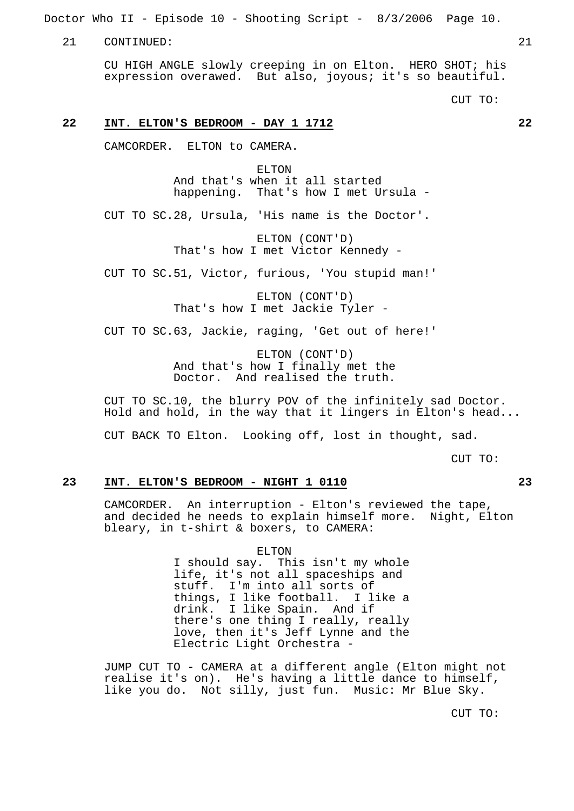Doctor Who II - Episode 10 - Shooting Script - 8/3/2006 Page 10.

21 CONTINUED: 21

CU HIGH ANGLE slowly creeping in on Elton. HERO SHOT; his expression overawed. But also, joyous; it's so beautiful.

CUT TO:

## **22 INT. ELTON'S BEDROOM - DAY 1 1712 22**

CAMCORDER. ELTON to CAMERA.

ELTON And that's when it all started happening. That's how I met Ursula -

CUT TO SC.28, Ursula, 'His name is the Doctor'.

ELTON (CONT'D) That's how I met Victor Kennedy -

CUT TO SC.51, Victor, furious, 'You stupid man!'

ELTON (CONT'D) That's how I met Jackie Tyler -

CUT TO SC.63, Jackie, raging, 'Get out of here!'

ELTON (CONT'D) And that's how I finally met the Doctor. And realised the truth.

CUT TO SC.10, the blurry POV of the infinitely sad Doctor. Hold and hold, in the way that it lingers in Elton's head...

CUT BACK TO Elton. Looking off, lost in thought, sad.

CUT TO:

#### **23 INT. ELTON'S BEDROOM - NIGHT 1 0110 23**

CAMCORDER. An interruption - Elton's reviewed the tape, and decided he needs to explain himself more. Night, Elton bleary, in t-shirt & boxers, to CAMERA:

> ELTON I should say. This isn't my whole life, it's not all spaceships and stuff. I'm into all sorts of things, I like football. I like a drink. I like Spain. And if there's one thing I really, really love, then it's Jeff Lynne and the Electric Light Orchestra -

JUMP CUT TO - CAMERA at a different angle (Elton might not realise it's on). He's having a little dance to himself, like you do. Not silly, just fun. Music: Mr Blue Sky.

CUT TO: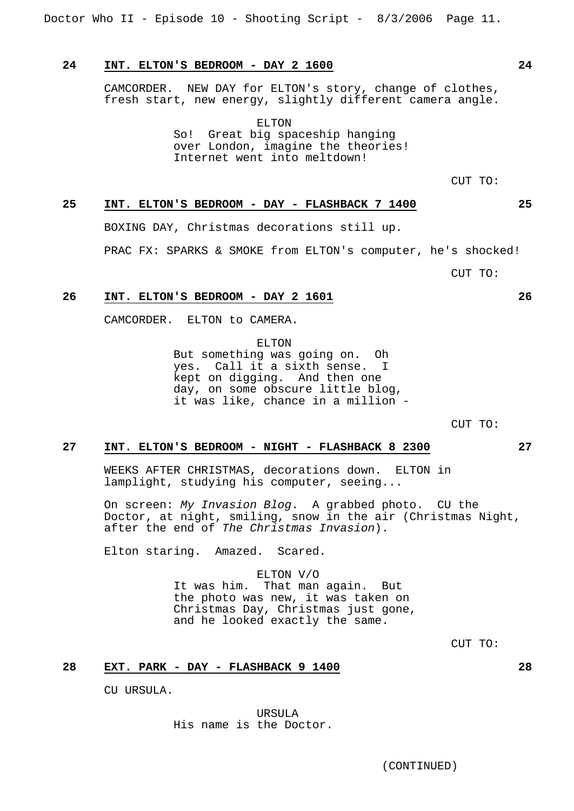Doctor Who II - Episode 10 - Shooting Script - 8/3/2006 Page 11.

## **24 INT. ELTON'S BEDROOM - DAY 2 1600 24**

CAMCORDER. NEW DAY for ELTON's story, change of clothes, fresh start, new energy, slightly different camera angle.

> ELTON So! Great big spaceship hanging over London, imagine the theories! Internet went into meltdown!

> > CUT TO:

# **25 INT. ELTON'S BEDROOM - DAY - FLASHBACK 7 1400 25**

BOXING DAY, Christmas decorations still up.

PRAC FX: SPARKS & SMOKE from ELTON's computer, he's shocked!

CUT TO:

#### **26 INT. ELTON'S BEDROOM - DAY 2 1601 26**

CAMCORDER. ELTON to CAMERA.

ELTON

But something was going on. Oh yes. Call it a sixth sense. I kept on digging. And then one day, on some obscure little blog, it was like, chance in a million -

CUT TO:

## **27 INT. ELTON'S BEDROOM - NIGHT - FLASHBACK 8 2300 27**

WEEKS AFTER CHRISTMAS, decorations down. ELTON in lamplight, studying his computer, seeing...

On screen: My Invasion Blog. A grabbed photo. CU the Doctor, at night, smiling, snow in the air (Christmas Night, after the end of The Christmas Invasion).

Elton staring. Amazed. Scared.

#### ELTON V/O

It was him. That man again. But the photo was new, it was taken on Christmas Day, Christmas just gone, and he looked exactly the same.

CUT TO:

## **28 EXT. PARK - DAY - FLASHBACK 9 1400 28**

CU URSULA.

URSULA His name is the Doctor.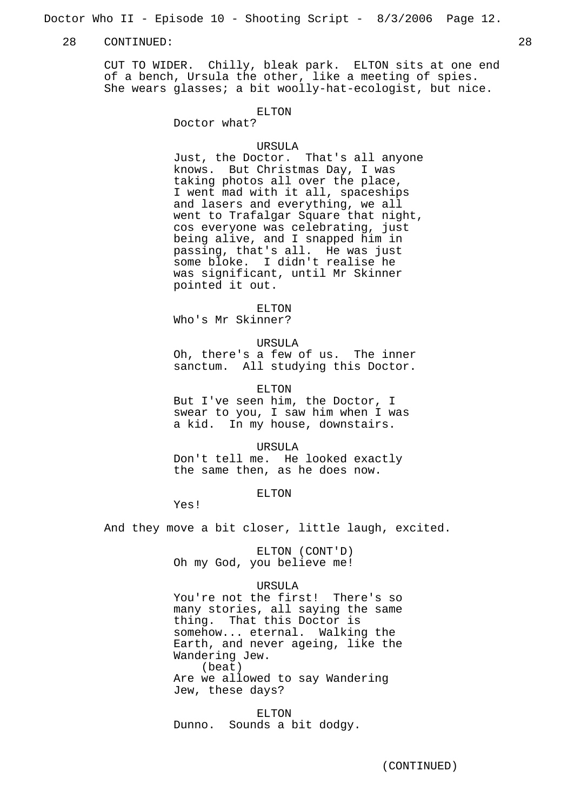Doctor Who II - Episode 10 - Shooting Script - 8/3/2006 Page 12.

#### 28 CONTINUED: 28

CUT TO WIDER. Chilly, bleak park. ELTON sits at one end of a bench, Ursula the other, like a meeting of spies. She wears glasses; a bit woolly-hat-ecologist, but nice.

#### ELTON

Doctor what?

#### URSULA

Just, the Doctor. That's all anyone knows. But Christmas Day, I was taking photos all over the place, I went mad with it all, spaceships and lasers and everything, we all went to Trafalgar Square that night, cos everyone was celebrating, just being alive, and I snapped him in passing, that's all. He was just some bloke. I didn't realise he was significant, until Mr Skinner pointed it out.

ELTON

Who's Mr Skinner?

URSULA

Oh, there's a few of us. The inner sanctum. All studying this Doctor.

ELTON

But I've seen him, the Doctor, I swear to you, I saw him when I was a kid. In my house, downstairs.

URSULA

Don't tell me. He looked exactly the same then, as he does now.

ELTON

Yes!

And they move a bit closer, little laugh, excited.

ELTON (CONT'D) Oh my God, you believe me!

#### URSULA

You're not the first! There's so many stories, all saying the same thing. That this Doctor is somehow... eternal. Walking the Earth, and never ageing, like the Wandering Jew. (beat) Are we allowed to say Wandering Jew, these days?

ELTON Dunno. Sounds a bit dodgy.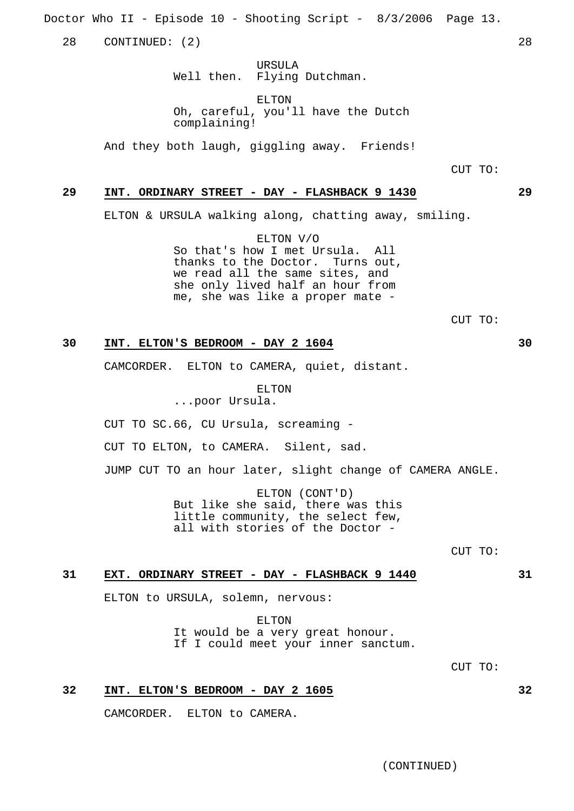Doctor Who II - Episode 10 - Shooting Script - 8/3/2006 Page 13.

28 CONTINUED: (2) 28

URSULA Well then. Flying Dutchman.

ELTON Oh, careful, you'll have the Dutch complaining!

And they both laugh, giggling away. Friends!

CUT TO:

## **29 INT. ORDINARY STREET - DAY - FLASHBACK 9 1430 29**

ELTON & URSULA walking along, chatting away, smiling.

ELTON V/O So that's how I met Ursula. All thanks to the Doctor. Turns out, we read all the same sites, and she only lived half an hour from me, she was like a proper mate -

CUT TO:

## **30 INT. ELTON'S BEDROOM - DAY 2 1604 30**

CAMCORDER. ELTON to CAMERA, quiet, distant.

ELTON

...poor Ursula.

CUT TO SC.66, CU Ursula, screaming -

CUT TO ELTON, to CAMERA. Silent, sad.

JUMP CUT TO an hour later, slight change of CAMERA ANGLE.

ELTON (CONT'D) But like she said, there was this little community, the select few, all with stories of the Doctor -

CUT TO:

#### **31 EXT. ORDINARY STREET - DAY - FLASHBACK 9 1440 31**

ELTON to URSULA, solemn, nervous:

ELTON It would be a very great honour. If I could meet your inner sanctum.

CUT TO:

## **32 INT. ELTON'S BEDROOM - DAY 2 1605 32**

CAMCORDER. ELTON to CAMERA.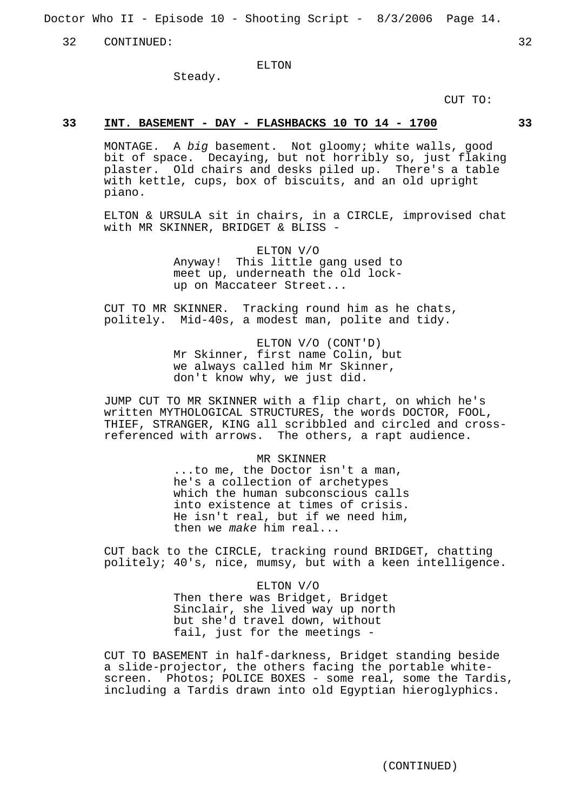Doctor Who II - Episode 10 - Shooting Script - 8/3/2006 Page 14.

32 CONTINUED: 32

ELTON

Steady.

CUT TO:

## **33 INT. BASEMENT - DAY - FLASHBACKS 10 TO 14 - 1700 33**

MONTAGE. A big basement. Not gloomy; white walls, good bit of space. Decaying, but not horribly so, just flaking plaster. Old chairs and desks piled up. There's a table with kettle, cups, box of biscuits, and an old upright piano.

ELTON & URSULA sit in chairs, in a CIRCLE, improvised chat with MR SKINNER, BRIDGET & BLISS -

> ELTON V/O Anyway! This little gang used to meet up, underneath the old lockup on Maccateer Street...

CUT TO MR SKINNER. Tracking round him as he chats, politely. Mid-40s, a modest man, polite and tidy.

> ELTON V/O (CONT'D) Mr Skinner, first name Colin, but we always called him Mr Skinner, don't know why, we just did.

JUMP CUT TO MR SKINNER with a flip chart, on which he's written MYTHOLOGICAL STRUCTURES, the words DOCTOR, FOOL, THIEF, STRANGER, KING all scribbled and circled and crossreferenced with arrows. The others, a rapt audience.

> MR SKINNER ...to me, the Doctor isn't a man, he's a collection of archetypes which the human subconscious calls into existence at times of crisis. He isn't real, but if we need him, then we make him real...

CUT back to the CIRCLE, tracking round BRIDGET, chatting politely; 40's, nice, mumsy, but with a keen intelligence.

> ELTON V/O Then there was Bridget, Bridget Sinclair, she lived way up north but she'd travel down, without fail, just for the meetings -

CUT TO BASEMENT in half-darkness, Bridget standing beside a slide-projector, the others facing the portable whitescreen. Photos; POLICE BOXES - some real, some the Tardis, including a Tardis drawn into old Egyptian hieroglyphics.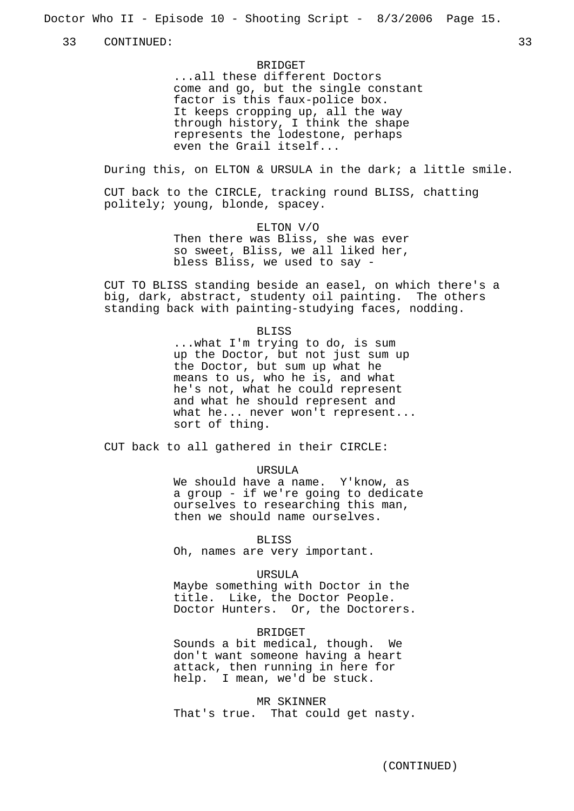Doctor Who II - Episode 10 - Shooting Script - 8/3/2006 Page 15.

33 CONTINUED: 33

**BRIDGET** ...all these different Doctors come and go, but the single constant factor is this faux-police box. It keeps cropping up, all the way through history, I think the shape represents the lodestone, perhaps even the Grail itself...

During this, on ELTON & URSULA in the dark; a little smile.

CUT back to the CIRCLE, tracking round BLISS, chatting politely; young, blonde, spacey.

> ELTON V/O Then there was Bliss, she was ever so sweet, Bliss, we all liked her, bless Bliss, we used to say -

CUT TO BLISS standing beside an easel, on which there's a big, dark, abstract, studenty oil painting. The others standing back with painting-studying faces, nodding.

#### BLISS

...what I'm trying to do, is sum up the Doctor, but not just sum up the Doctor, but sum up what he means to us, who he is, and what he's not, what he could represent and what he should represent and what he... never won't represent... sort of thing.

CUT back to all gathered in their CIRCLE:

#### URSULA

We should have a name. Y'know, as a group - if we're going to dedicate ourselves to researching this man, then we should name ourselves.

BLISS

Oh, names are very important.

#### URSULA

Maybe something with Doctor in the title. Like, the Doctor People. Doctor Hunters. Or, the Doctorers.

#### BRIDGET

Sounds a bit medical, though. We don't want someone having a heart attack, then running in here for help. I mean, we'd be stuck.

#### MR SKINNER

That's true. That could get nasty.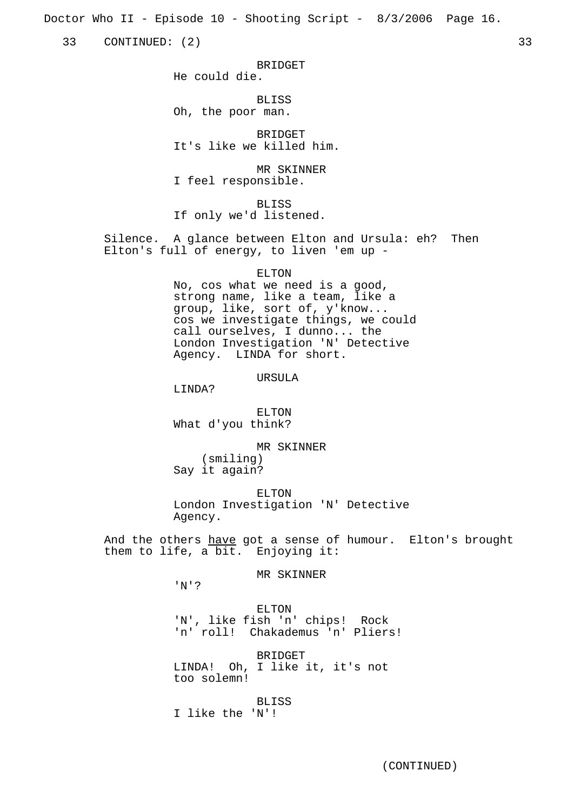Doctor Who II - Episode 10 - Shooting Script - 8/3/2006 Page 16.

33 CONTINUED: (2) 33

**BRIDGET** 

**BLISS** Oh, the poor man.

He could die.

**BRIDGET** It's like we killed him.

MR SKINNER I feel responsible.

BLISS If only we'd listened.

Silence. A glance between Elton and Ursula: eh? Then Elton's full of energy, to liven 'em up -

ELTON

No, cos what we need is a good, strong name, like a team, like a group, like, sort of, y'know... cos we investigate things, we could call ourselves, I dunno... the London Investigation 'N' Detective Agency. LINDA for short.

URSULA

LINDA?

ELTON What d'you think?

MR SKINNER (smiling) Say it again?

ELTON London Investigation 'N' Detective Agency.

And the others have got a sense of humour. Elton's brought them to life, a bit. Enjoying it:

MR SKINNER

'N'?

ELTON 'N', like fish 'n' chips! Rock 'n' roll! Chakademus 'n' Pliers!

BRIDGET LINDA! Oh, I like it, it's not too solemn!

BLISS I like the 'N'!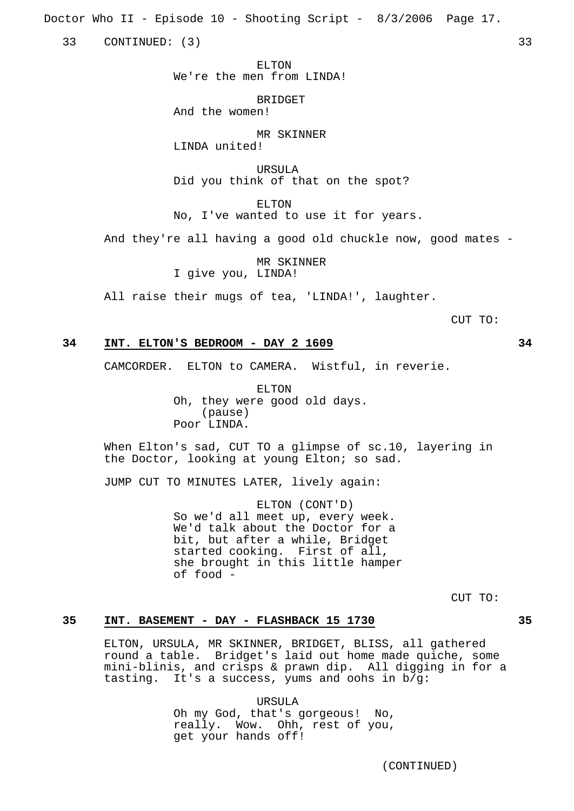Doctor Who II - Episode 10 - Shooting Script - 8/3/2006 Page 17.

33 CONTINUED: (3) 33

ELTON We're the men from LINDA!

**BRIDGET** And the women!

MR SKINNER LINDA united!

URSULA Did you think of that on the spot?

ELTON No, I've wanted to use it for years.

And they're all having a good old chuckle now, good mates -

MR SKINNER I give you, LINDA!

All raise their mugs of tea, 'LINDA!', laughter.

CUT TO:

## **34 INT. ELTON'S BEDROOM - DAY 2 1609 34**

CAMCORDER. ELTON to CAMERA. Wistful, in reverie.

ELTON Oh, they were good old days. (pause) Poor LINDA.

When Elton's sad, CUT TO a glimpse of sc.10, layering in the Doctor, looking at young Elton; so sad.

JUMP CUT TO MINUTES LATER, lively again:

ELTON (CONT'D) So we'd all meet up, every week. We'd talk about the Doctor for a bit, but after a while, Bridget started cooking. First of all, she brought in this little hamper of food -

CUT TO:

#### **35 INT. BASEMENT - DAY - FLASHBACK 15 1730 35**

ELTON, URSULA, MR SKINNER, BRIDGET, BLISS, all gathered round a table. Bridget's laid out home made quiche, some mini-blinis, and crisps & prawn dip. All digging in for a tasting. It's a success, yums and oohs in b/g:

> URSULA Oh my God, that's gorgeous! No, really. Wow. Ohh, rest of you, get your hands off!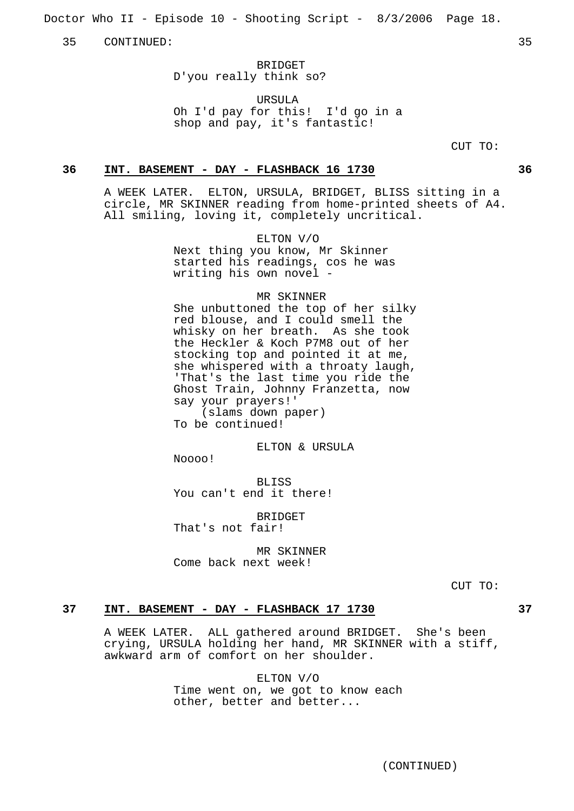Doctor Who II - Episode 10 - Shooting Script - 8/3/2006 Page 18.

35 CONTINUED: 35

BRIDGET D'you really think so?

URSULA

Oh I'd pay for this! I'd go in a shop and pay, it's fantastic!

CUT TO:

#### **36 INT. BASEMENT - DAY - FLASHBACK 16 1730 36**

A WEEK LATER. ELTON, URSULA, BRIDGET, BLISS sitting in a circle, MR SKINNER reading from home-printed sheets of A4. All smiling, loving it, completely uncritical.

ELTON V/O

Next thing you know, Mr Skinner started his readings, cos he was writing his own novel -

#### MR SKINNER

She unbuttoned the top of her silky red blouse, and I could smell the whisky on her breath. As she took the Heckler & Koch P7M8 out of her stocking top and pointed it at me, she whispered with a throaty laugh, 'That's the last time you ride the Ghost Train, Johnny Franzetta, now say your prayers!' (slams down paper)

To be continued!

ELTON & URSULA

Noooo!

BLISS You can't end it there!

**BRIDGET** That's not fair!

MR SKINNER Come back next week!

CUT TO:

## **37 INT. BASEMENT - DAY - FLASHBACK 17 1730 37**

A WEEK LATER. ALL gathered around BRIDGET. She's been crying, URSULA holding her hand, MR SKINNER with a stiff, awkward arm of comfort on her shoulder.

> ELTON V/O Time went on, we got to know each other, better and better...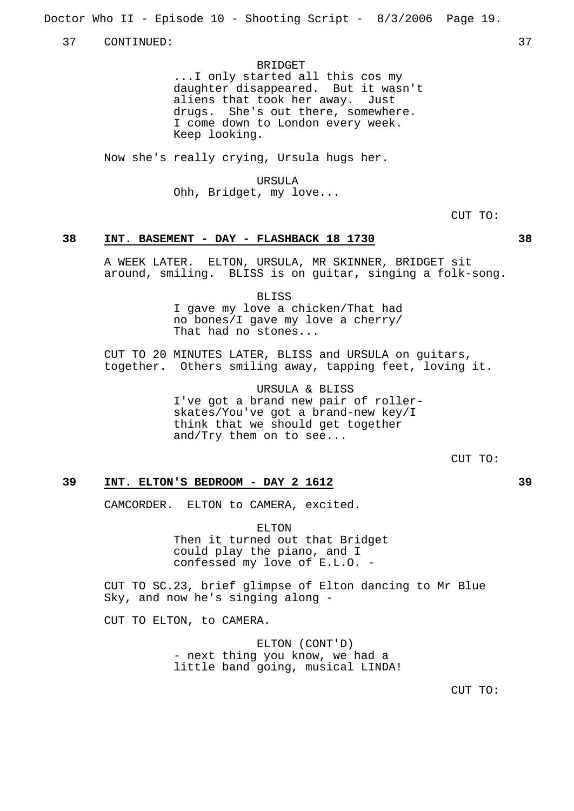Doctor Who II - Episode 10 - Shooting Script - 8/3/2006 Page 19.

37 CONTINUED: 37

BRIDGET ...I only started all this cos my daughter disappeared. But it wasn't aliens that took her away. Just drugs. She's out there, somewhere. I come down to London every week. Keep looking.

Now she's really crying, Ursula hugs her.

URSULA Ohh, Bridget, my love...

CUT TO:

#### **38 INT. BASEMENT - DAY - FLASHBACK 18 1730 38**

A WEEK LATER. ELTON, URSULA, MR SKINNER, BRIDGET sit around, smiling. BLISS is on guitar, singing a folk-song.

> BLISS I gave my love a chicken/That had no bones/I gave my love a cherry/ That had no stones...

CUT TO 20 MINUTES LATER, BLISS and URSULA on guitars, together. Others smiling away, tapping feet, loving it.

> URSULA & BLISS I've got a brand new pair of rollerskates/You've got a brand-new key/I think that we should get together and/Try them on to see...

> > CUT TO:

#### **39 INT. ELTON'S BEDROOM - DAY 2 1612 39**

CAMCORDER. ELTON to CAMERA, excited.

ELTON Then it turned out that Bridget could play the piano, and I confessed my love of E.L.O. -

CUT TO SC.23, brief glimpse of Elton dancing to Mr Blue Sky, and now he's singing along -

CUT TO ELTON, to CAMERA.

ELTON (CONT'D) - next thing you know, we had a little band going, musical LINDA!

CUT TO: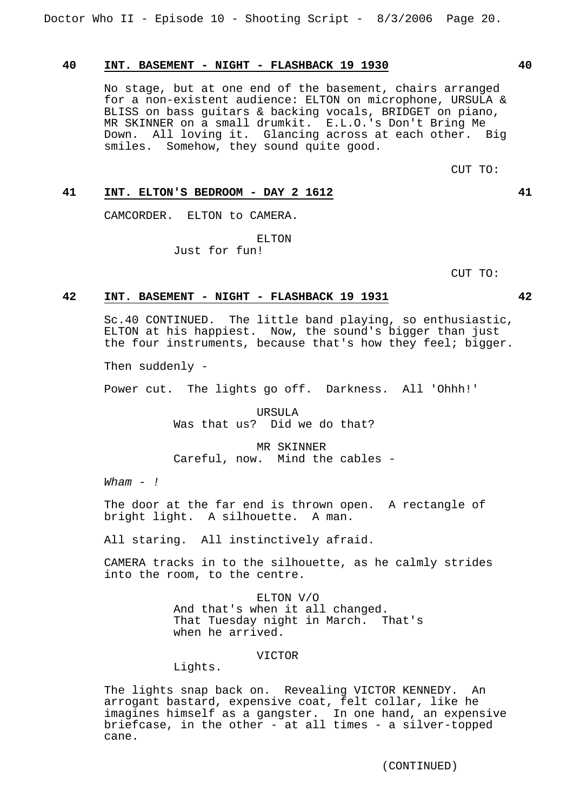## **40 INT. BASEMENT - NIGHT - FLASHBACK 19 1930 40**

No stage, but at one end of the basement, chairs arranged for a non-existent audience: ELTON on microphone, URSULA & BLISS on bass guitars & backing vocals, BRIDGET on piano, MR SKINNER on a small drumkit. E.L.O.'s Don't Bring Me Down. All loving it. Glancing across at each other. Big smiles. Somehow, they sound quite good.

CUT TO:

## **41 INT. ELTON'S BEDROOM - DAY 2 1612 41**

CAMCORDER. ELTON to CAMERA.

ELTON Just for fun!

CUT TO:

#### **42 INT. BASEMENT - NIGHT - FLASHBACK 19 1931 42**

Sc.40 CONTINUED. The little band playing, so enthusiastic, ELTON at his happiest. Now, the sound's bigger than just the four instruments, because that's how they feel; bigger.

Then suddenly -

Power cut. The lights go off. Darkness. All 'Ohhh!'

URSULA Was that us? Did we do that?

MR SKINNER Careful, now. Mind the cables -

 $Wham - !$ 

The door at the far end is thrown open. A rectangle of bright light. A silhouette. A man.

All staring. All instinctively afraid.

CAMERA tracks in to the silhouette, as he calmly strides into the room, to the centre.

> ELTON V/O And that's when it all changed. That Tuesday night in March. That's when he arrived.

#### VICTOR

Lights.

The lights snap back on. Revealing VICTOR KENNEDY. An arrogant bastard, expensive coat, felt collar, like he imagines himself as a gangster. In one hand, an expensive briefcase, in the other - at all times - a silver-topped cane.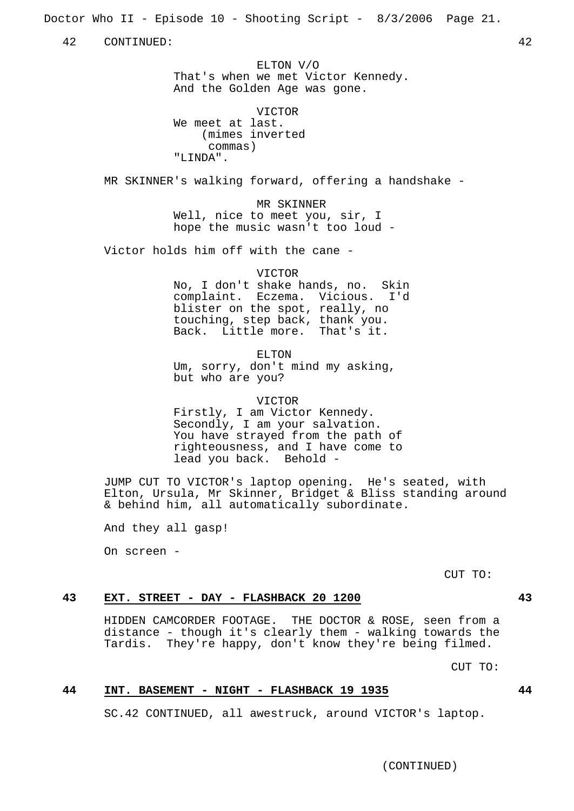Doctor Who II - Episode 10 - Shooting Script - 8/3/2006 Page 21.

42 CONTINUED: 42

ELTON V/O That's when we met Victor Kennedy. And the Golden Age was gone.

VICTOR We meet at last. (mimes inverted commas) "LINDA".

MR SKINNER's walking forward, offering a handshake -

MR SKINNER Well, nice to meet you, sir, I hope the music wasn't too loud -

Victor holds him off with the cane -

#### VICTOR

No, I don't shake hands, no. Skin complaint. Eczema. Vicious. I'd blister on the spot, really, no touching, step back, thank you. Back. Little more. That's it.

ELTON

Um, sorry, don't mind my asking, but who are you?

VICTOR

Firstly, I am Victor Kennedy. Secondly, I am your salvation. You have strayed from the path of righteousness, and I have come to lead you back. Behold -

JUMP CUT TO VICTOR's laptop opening. He's seated, with Elton, Ursula, Mr Skinner, Bridget & Bliss standing around & behind him, all automatically subordinate.

And they all gasp!

On screen -

CUT TO:

## **43 EXT. STREET - DAY - FLASHBACK 20 1200 43**

HIDDEN CAMCORDER FOOTAGE. THE DOCTOR & ROSE, seen from a distance - though it's clearly them - walking towards the Tardis. They're happy, don't know they're being filmed.

CUT TO:

## **44 INT. BASEMENT - NIGHT - FLASHBACK 19 1935 44**

SC.42 CONTINUED, all awestruck, around VICTOR's laptop.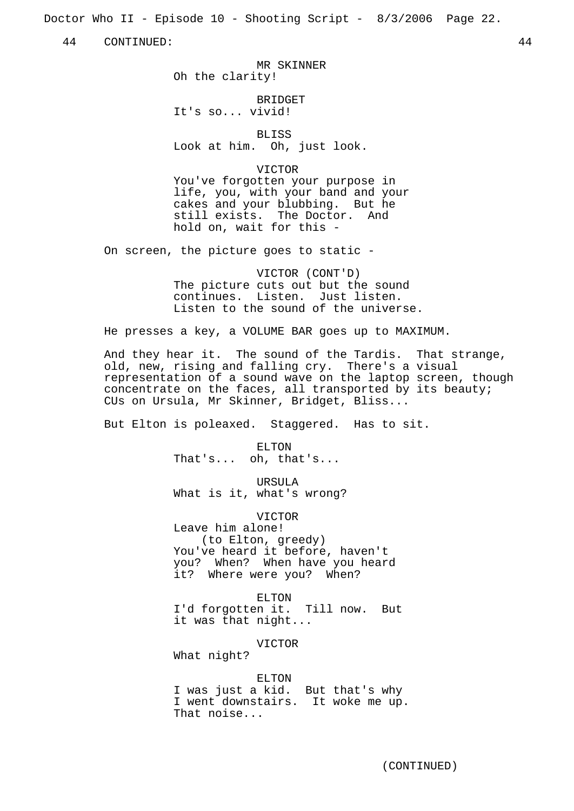Doctor Who II - Episode 10 - Shooting Script - 8/3/2006 Page 22.

44 CONTINUED: 44

MR SKINNER Oh the clarity!

**BRIDGET** It's so... vivid!

**BLISS** 

Look at him. Oh, just look.

VICTOR

You've forgotten your purpose in life, you, with your band and your cakes and your blubbing. But he still exists. The Doctor. And hold on, wait for this -

On screen, the picture goes to static -

VICTOR (CONT'D) The picture cuts out but the sound continues. Listen. Just listen. Listen to the sound of the universe.

He presses a key, a VOLUME BAR goes up to MAXIMUM.

And they hear it. The sound of the Tardis. That strange, old, new, rising and falling cry. There's a visual representation of a sound wave on the laptop screen, though concentrate on the faces, all transported by its beauty; CUs on Ursula, Mr Skinner, Bridget, Bliss...

But Elton is poleaxed. Staggered. Has to sit.

ELTON That's... oh, that's...

URSULA What is it, what's wrong?

VICTOR Leave him alone! (to Elton, greedy) You've heard it before, haven't you? When? When have you heard it? Where were you? When?

ELTON I'd forgotten it. Till now. But it was that night...

VICTOR

What night?

ELTON

I was just a kid. But that's why I went downstairs. It woke me up. That noise...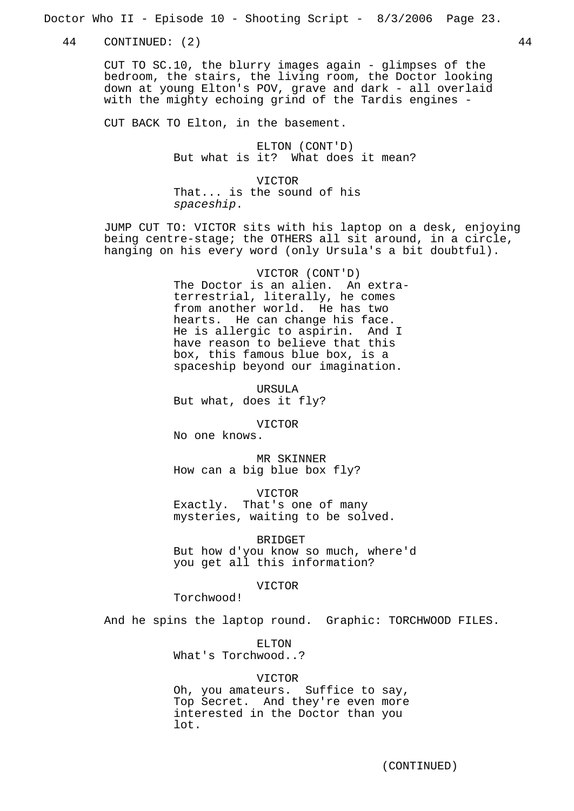Doctor Who II - Episode 10 - Shooting Script - 8/3/2006 Page 23.

44 CONTINUED: (2) 44

CUT TO SC.10, the blurry images again - glimpses of the bedroom, the stairs, the living room, the Doctor looking down at young Elton's POV, grave and dark - all overlaid with the mighty echoing grind of the Tardis engines -

CUT BACK TO Elton, in the basement.

ELTON (CONT'D) But what is it? What does it mean?

VICTOR That... is the sound of his spaceship.

JUMP CUT TO: VICTOR sits with his laptop on a desk, enjoying being centre-stage; the OTHERS all sit around, in a circle, hanging on his every word (only Ursula's a bit doubtful).

> VICTOR (CONT'D) The Doctor is an alien. An extraterrestrial, literally, he comes from another world. He has two hearts. He can change his face. He is allergic to aspirin. And I have reason to believe that this box, this famous blue box, is a spaceship beyond our imagination.

URSULA But what, does it fly?

VICTOR

No one knows.

MR SKINNER How can a big blue box fly?

VICTOR Exactly. That's one of many mysteries, waiting to be solved.

BRIDGET

But how d'you know so much, where'd you get all this information?

VICTOR

Torchwood!

And he spins the laptop round. Graphic: TORCHWOOD FILES.

ELTON What's Torchwood..?

#### VICTOR

Oh, you amateurs. Suffice to say, Top Secret. And they're even more interested in the Doctor than you lot.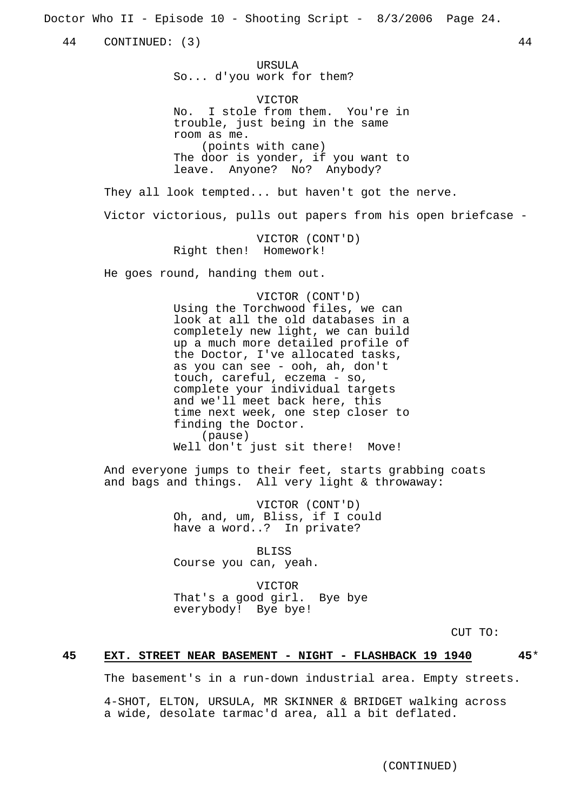Doctor Who II - Episode 10 - Shooting Script - 8/3/2006 Page 24.

44 CONTINUED: (3) 44

URSULA So... d'you work for them?

VICTOR No. I stole from them. You're in trouble, just being in the same room as me. (points with cane) The door is yonder, if you want to leave. Anyone? No? Anybody?

They all look tempted... but haven't got the nerve.

Victor victorious, pulls out papers from his open briefcase -

VICTOR (CONT'D) Right then! Homework!

He goes round, handing them out.

VICTOR (CONT'D) Using the Torchwood files, we can look at all the old databases in a completely new light, we can build up a much more detailed profile of the Doctor, I've allocated tasks, as you can see - ooh, ah, don't touch, careful, eczema - so, complete your individual targets and we'll meet back here, this time next week, one step closer to finding the Doctor. (pause) Well don't just sit there! Move!

And everyone jumps to their feet, starts grabbing coats and bags and things. All very light & throwaway:

> VICTOR (CONT'D) Oh, and, um, Bliss, if I could have a word..? In private?

BLISS Course you can, yeah.

VICTOR That's a good girl. Bye bye everybody! Bye bye!

CUT TO:

## **45 EXT. STREET NEAR BASEMENT - NIGHT - FLASHBACK 19 1940 45**\*

The basement's in a run-down industrial area. Empty streets.

4-SHOT, ELTON, URSULA, MR SKINNER & BRIDGET walking across a wide, desolate tarmac'd area, all a bit deflated.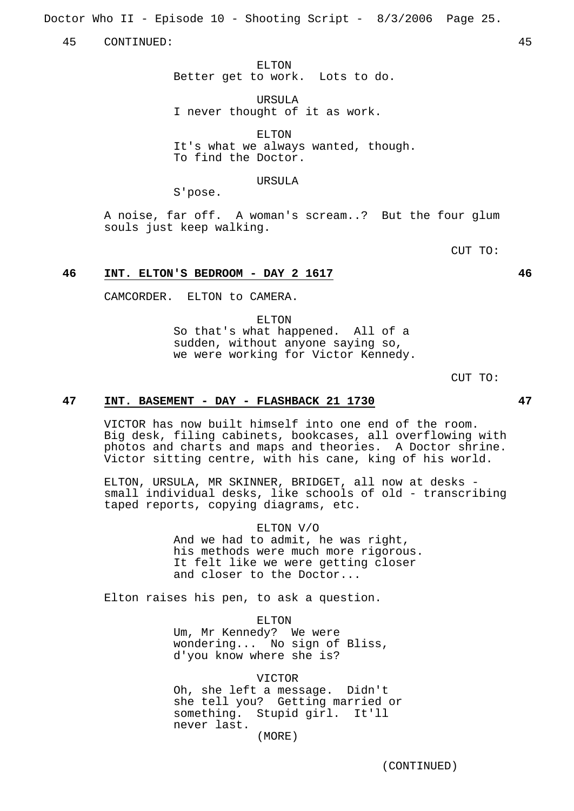Doctor Who II - Episode 10 - Shooting Script - 8/3/2006 Page 25.

45 CONTINUED: 45

ELTON Better get to work. Lots to do.

URSULA I never thought of it as work.

ELTON It's what we always wanted, though. To find the Doctor.

#### URSULA

S'pose.

A noise, far off. A woman's scream..? But the four glum souls just keep walking.

CUT TO:

## **46 INT. ELTON'S BEDROOM - DAY 2 1617 46**

CAMCORDER. ELTON to CAMERA.

ELTON So that's what happened. All of a sudden, without anyone saying so, we were working for Victor Kennedy.

CUT TO:

## **47 INT. BASEMENT - DAY - FLASHBACK 21 1730 47**

VICTOR has now built himself into one end of the room. Big desk, filing cabinets, bookcases, all overflowing with photos and charts and maps and theories. A Doctor shrine. Victor sitting centre, with his cane, king of his world.

ELTON, URSULA, MR SKINNER, BRIDGET, all now at desks small individual desks, like schools of old - transcribing taped reports, copying diagrams, etc.

> ELTON V/O And we had to admit, he was right, his methods were much more rigorous. It felt like we were getting closer and closer to the Doctor...

Elton raises his pen, to ask a question.

ELTON Um, Mr Kennedy? We were wondering... No sign of Bliss, d'you know where she is?

VICTOR Oh, she left a message. Didn't she tell you? Getting married or something. Stupid girl. It'll never last. (MORE)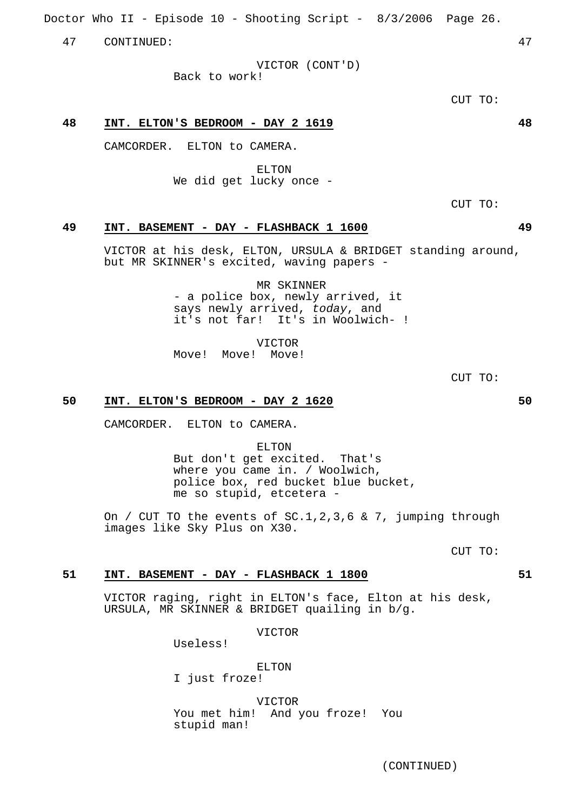(CONTINUED)

Doctor Who II - Episode 10 - Shooting Script - 8/3/2006 Page 26.

47 CONTINUED: 47

VICTOR (CONT'D)

Back to work!

CUT TO:

## **48 INT. ELTON'S BEDROOM - DAY 2 1619 48**

CAMCORDER. ELTON to CAMERA.

ELTON We did get lucky once -

CUT TO:

## **49 INT. BASEMENT - DAY - FLASHBACK 1 1600 49**

VICTOR at his desk, ELTON, URSULA & BRIDGET standing around, but MR SKINNER's excited, waving papers -

> MR SKINNER - a police box, newly arrived, it says newly arrived, today, and it's not far! It's in Woolwich- !

VICTOR Move! Move! Move!

CUT TO:

## **50 INT. ELTON'S BEDROOM - DAY 2 1620 50**

CAMCORDER. ELTON to CAMERA.

ELTON But don't get excited. That's where you came in. / Woolwich, police box, red bucket blue bucket, me so stupid, etcetera -

On / CUT TO the events of SC.1,2,3,6 & 7, jumping through images like Sky Plus on X30.

CUT TO:

#### **51 INT. BASEMENT - DAY - FLASHBACK 1 1800 51**

VICTOR raging, right in ELTON's face, Elton at his desk, URSULA, MR SKINNER & BRIDGET quailing in b/g.

VICTOR

Useless!

#### ELTON

I just froze!

VICTOR You met him! And you froze! You stupid man!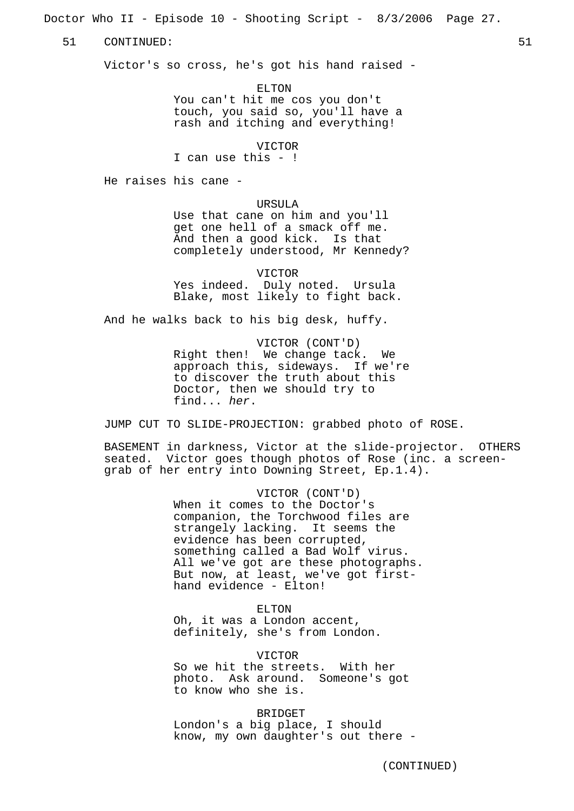Doctor Who II - Episode 10 - Shooting Script - 8/3/2006 Page 27.

51 CONTINUED: 51

Victor's so cross, he's got his hand raised -

ELTON You can't hit me cos you don't touch, you said so, you'll have a rash and itching and everything!

VICTOR

I can use this - !

He raises his cane -

URSULA

Use that cane on him and you'll get one hell of a smack off me. And then a good kick. Is that completely understood, Mr Kennedy?

VICTOR Yes indeed. Duly noted. Ursula Blake, most likely to fight back.

And he walks back to his big desk, huffy.

VICTOR (CONT'D) Right then! We change tack. We approach this, sideways. If we're to discover the truth about this Doctor, then we should try to find... her.

JUMP CUT TO SLIDE-PROJECTION: grabbed photo of ROSE.

BASEMENT in darkness, Victor at the slide-projector. OTHERS seated. Victor goes though photos of Rose (inc. a screengrab of her entry into Downing Street, Ep.1.4).

> VICTOR (CONT'D) When it comes to the Doctor's companion, the Torchwood files are strangely lacking. It seems the evidence has been corrupted, something called a Bad Wolf virus. All we've got are these photographs. But now, at least, we've got firsthand evidence - Elton!

ELTON Oh, it was a London accent, definitely, she's from London.

VICTOR So we hit the streets. With her photo. Ask around. Someone's got to know who she is.

BRIDGET London's a big place, I should know, my own daughter's out there -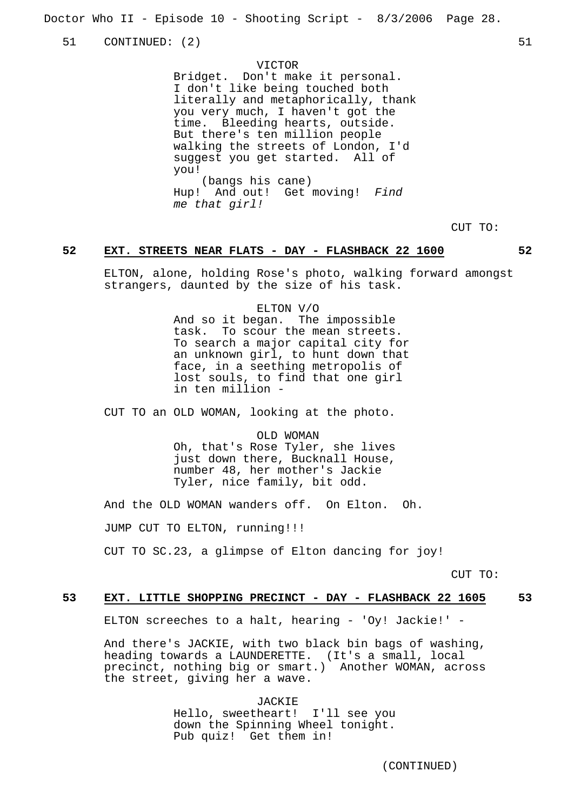Doctor Who II - Episode 10 - Shooting Script - 8/3/2006 Page 28.

51 CONTINUED: (2) 51

VICTOR

Bridget. Don't make it personal. I don't like being touched both literally and metaphorically, thank you very much, I haven't got the time. Bleeding hearts, outside. But there's ten million people walking the streets of London, I'd suggest you get started. All of you! (bangs his cane) Hup! And out! Get moving! Find me that girl!

CUT TO:

#### **52 EXT. STREETS NEAR FLATS - DAY - FLASHBACK 22 1600 52**

ELTON, alone, holding Rose's photo, walking forward amongst strangers, daunted by the size of his task.

> ELTON V/O And so it began. The impossible task. To scour the mean streets. To search a major capital city for an unknown girl, to hunt down that face, in a seething metropolis of lost souls, to find that one girl in ten million -

CUT TO an OLD WOMAN, looking at the photo.

OLD WOMAN Oh, that's Rose Tyler, she lives just down there, Bucknall House, number 48, her mother's Jackie Tyler, nice family, bit odd.

And the OLD WOMAN wanders off. On Elton. Oh.

JUMP CUT TO ELTON, running!!!

CUT TO SC.23, a glimpse of Elton dancing for joy!

CUT TO:

## **53 EXT. LITTLE SHOPPING PRECINCT - DAY - FLASHBACK 22 1605 53**

ELTON screeches to a halt, hearing - 'Oy! Jackie!' -

And there's JACKIE, with two black bin bags of washing, heading towards a LAUNDERETTE. (It's a small, local precinct, nothing big or smart.) Another WOMAN, across the street, giving her a wave.

> JACKIE Hello, sweetheart! I'll see you down the Spinning Wheel tonight. Pub quiz! Get them in!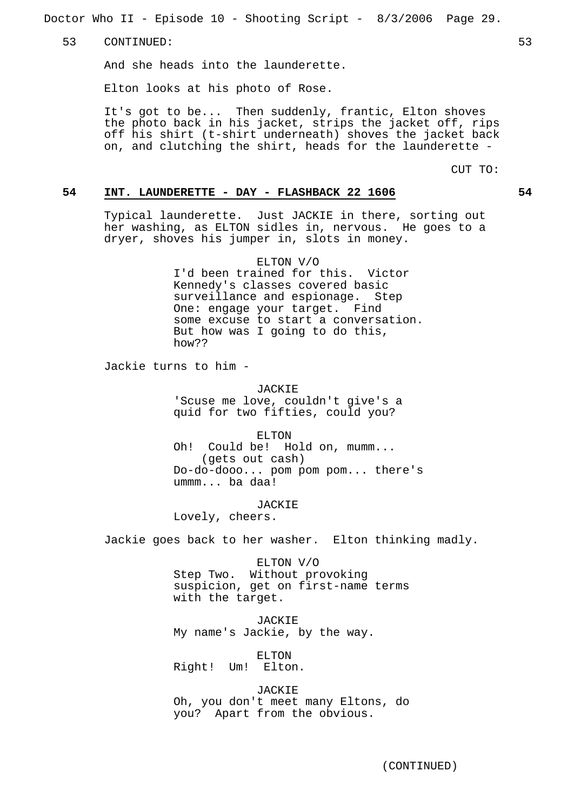Doctor Who II - Episode 10 - Shooting Script - 8/3/2006 Page 29.

53 CONTINUED: 53

And she heads into the launderette.

Elton looks at his photo of Rose.

It's got to be... Then suddenly, frantic, Elton shoves the photo back in his jacket, strips the jacket off, rips off his shirt (t-shirt underneath) shoves the jacket back on, and clutching the shirt, heads for the launderette -

CUT TO:

## **54 INT. LAUNDERETTE - DAY - FLASHBACK 22 1606 54**

Typical launderette. Just JACKIE in there, sorting out her washing, as ELTON sidles in, nervous. He goes to a dryer, shoves his jumper in, slots in money.

> ELTON V/O I'd been trained for this. Victor Kennedy's classes covered basic surveillance and espionage. Step One: engage your target. Find some excuse to start a conversation. But how was I going to do this, how??

Jackie turns to him -

JACKIE 'Scuse me love, couldn't give's a quid for two fifties, could you?

ELTON

Oh! Could be! Hold on, mumm... (gets out cash) Do-do-dooo... pom pom pom... there's ummm... ba daa!

JACKIE Lovely, cheers.

Jackie goes back to her washer. Elton thinking madly.

ELTON V/O Step Two. Without provoking suspicion, get on first-name terms with the target.

JACKIE My name's Jackie, by the way.

ELTON Right! Um! Elton.

JACKIE Oh, you don't meet many Eltons, do you? Apart from the obvious.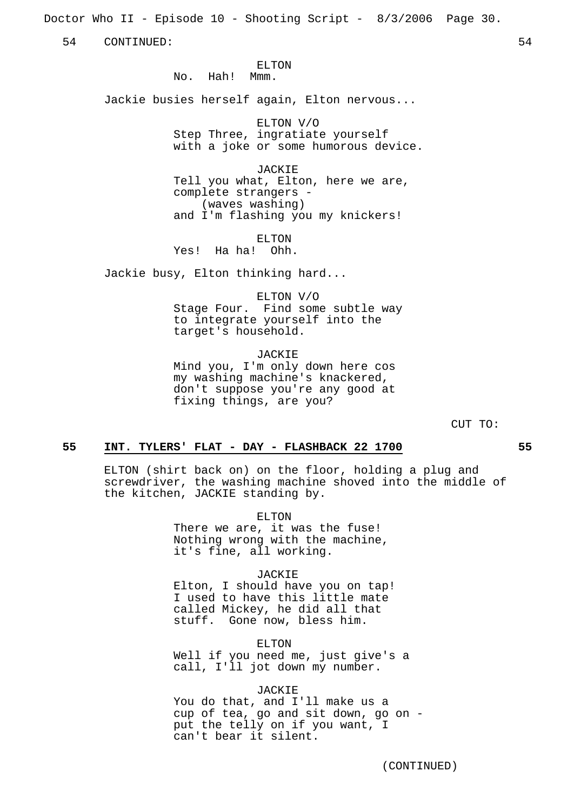Doctor Who II - Episode 10 - Shooting Script - 8/3/2006 Page 30.

54 CONTINUED: 54

ELTON

No. Hah! Mmm.

Jackie busies herself again, Elton nervous...

ELTON V/O Step Three, ingratiate yourself with a joke or some humorous device.

JACKIE Tell you what, Elton, here we are, complete strangers - (waves washing) and I'm flashing you my knickers!

ELTON Yes! Ha ha! Ohh.

Jackie busy, Elton thinking hard...

ELTON V/O

Stage Four. Find some subtle way to integrate yourself into the target's household.

JACKIE Mind you, I'm only down here cos my washing machine's knackered,

don't suppose you're any good at fixing things, are you?

CUT TO:

#### **55 INT. TYLERS' FLAT - DAY - FLASHBACK 22 1700 55**

ELTON (shirt back on) on the floor, holding a plug and screwdriver, the washing machine shoved into the middle of the kitchen, JACKIE standing by.

ELTON

There we are, it was the fuse! Nothing wrong with the machine, it's fine, all working.

#### JACKIE

Elton, I should have you on tap! I used to have this little mate called Mickey, he did all that stuff. Gone now, bless him.

ELTON Well if you need me, just give's a call, I'll jot down my number.

#### JACKIE

You do that, and I'll make us a cup of tea, go and sit down, go on put the telly on if you want, I can't bear it silent.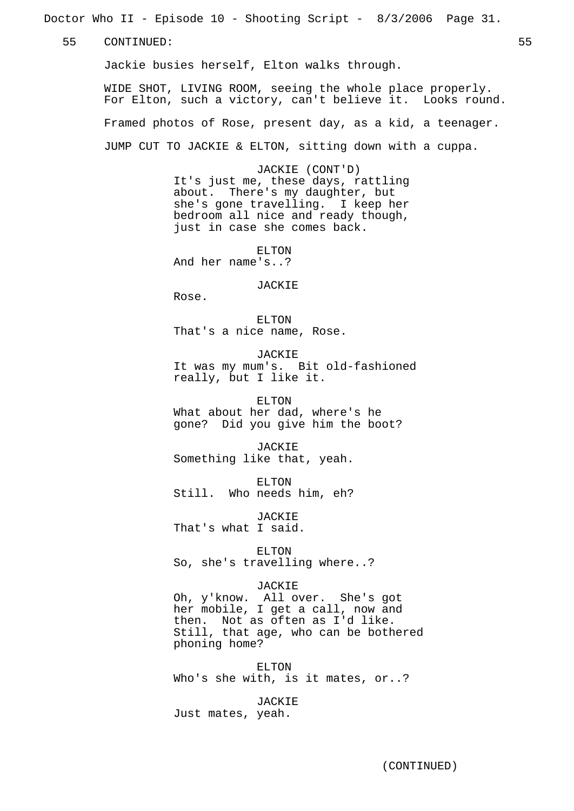Doctor Who II - Episode 10 - Shooting Script - 8/3/2006 Page 31.

55 CONTINUED: 55

Jackie busies herself, Elton walks through.

WIDE SHOT, LIVING ROOM, seeing the whole place properly. For Elton, such a victory, can't believe it. Looks round. Framed photos of Rose, present day, as a kid, a teenager. JUMP CUT TO JACKIE & ELTON, sitting down with a cuppa.

> JACKIE (CONT'D) It's just me, these days, rattling about. There's my daughter, but she's gone travelling. I keep her bedroom all nice and ready though, just in case she comes back.

ELTON And her name's..?

JACKIE

Rose.

ELTON That's a nice name, Rose.

JACKIE

It was my mum's. Bit old-fashioned really, but I like it.

ELTON What about her dad, where's he gone? Did you give him the boot?

JACKIE Something like that, yeah.

ELTON Still. Who needs him, eh?

JACKIE That's what I said.

ELTON So, she's travelling where..?

#### JACKIE

Oh, y'know. All over. She's got her mobile, I get a call, now and then. Not as often as I'd like. Still, that age, who can be bothered phoning home?

ELTON Who's she with, is it mates, or..?

JACKIE Just mates, yeah.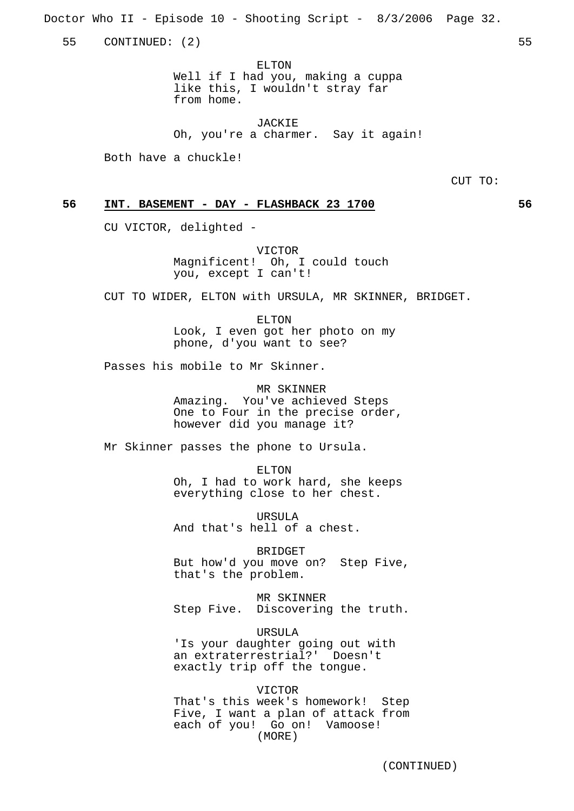Doctor Who II - Episode 10 - Shooting Script - 8/3/2006 Page 32.

55 CONTINUED: (2) 55

ELTON Well if I had you, making a cuppa like this, I wouldn't stray far from home.

JACKIE Oh, you're a charmer. Say it again!

Both have a chuckle!

CUT TO:

## **56 INT. BASEMENT - DAY - FLASHBACK 23 1700 56**

CU VICTOR, delighted -

VICTOR Magnificent! Oh, I could touch you, except I can't!

CUT TO WIDER, ELTON with URSULA, MR SKINNER, BRIDGET.

ELTON Look, I even got her photo on my phone, d'you want to see?

Passes his mobile to Mr Skinner.

MR SKINNER

Amazing. You've achieved Steps One to Four in the precise order, however did you manage it?

Mr Skinner passes the phone to Ursula.

ELTON Oh, I had to work hard, she keeps everything close to her chest.

URSULA And that's hell of a chest.

BRIDGET But how'd you move on? Step Five, that's the problem.

MR SKINNER Step Five. Discovering the truth.

URSULA 'Is your daughter going out with an extraterrestrial?' Doesn't exactly trip off the tongue.

VICTOR That's this week's homework! Step Five, I want a plan of attack from each of you! Go on! Vamoose! (MORE)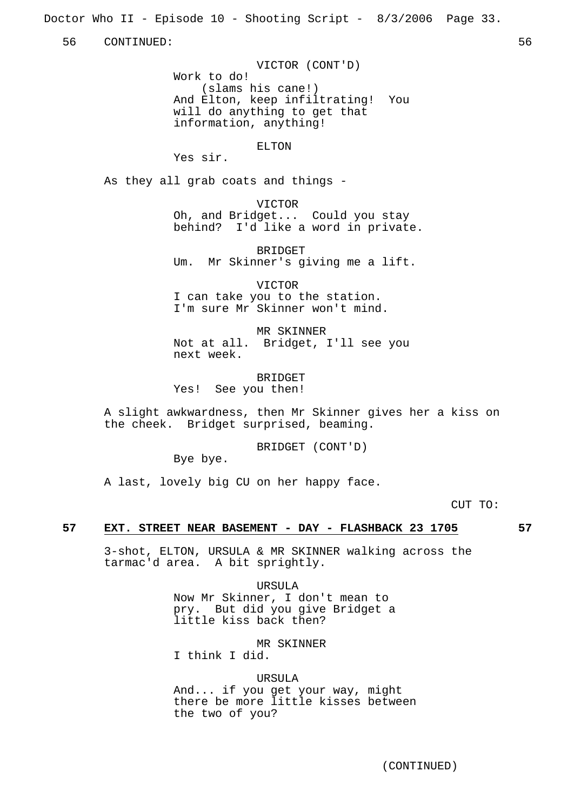Doctor Who II - Episode 10 - Shooting Script - 8/3/2006 Page 33.

56 CONTINUED: 56

VICTOR (CONT'D) Work to do! (slams his cane!) And Elton, keep infiltrating! You will do anything to get that information, anything!

ELTON

Yes sir.

As they all grab coats and things -

VICTOR Oh, and Bridget... Could you stay behind? I'd like a word in private.

BRIDGET Um. Mr Skinner's giving me a lift.

VICTOR I can take you to the station. I'm sure Mr Skinner won't mind.

MR SKINNER Not at all. Bridget, I'll see you next week.

BRIDGET Yes! See you then!

A slight awkwardness, then Mr Skinner gives her a kiss on the cheek. Bridget surprised, beaming.

BRIDGET (CONT'D)

Bye bye.

A last, lovely big CU on her happy face.

CUT TO:

## **57 EXT. STREET NEAR BASEMENT - DAY - FLASHBACK 23 1705 57**

3-shot, ELTON, URSULA & MR SKINNER walking across the tarmac'd area. A bit sprightly.

> URSULA Now Mr Skinner, I don't mean to pry. But did you give Bridget a little kiss back then?

MR SKINNER I think I did.

#### URSULA

And... if you get your way, might there be more little kisses between the two of you?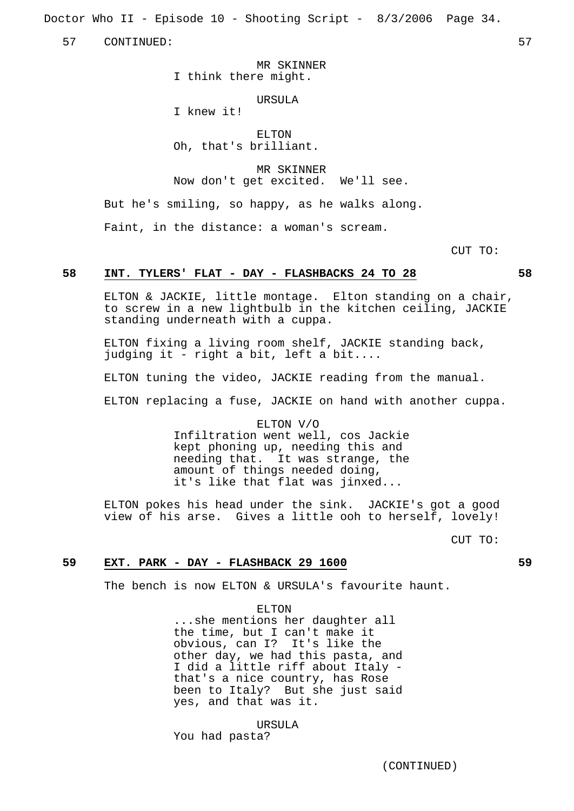Doctor Who II - Episode 10 - Shooting Script - 8/3/2006 Page 34.

57 CONTINUED: 57

MR SKINNER I think there might.

URSULA I knew it!

ELTON Oh, that's brilliant.

MR SKINNER Now don't get excited. We'll see.

But he's smiling, so happy, as he walks along.

Faint, in the distance: a woman's scream.

CUT TO:

#### **58 INT. TYLERS' FLAT - DAY - FLASHBACKS 24 TO 28 58**

ELTON & JACKIE, little montage. Elton standing on a chair, to screw in a new lightbulb in the kitchen ceiling, JACKIE standing underneath with a cuppa.

ELTON fixing a living room shelf, JACKIE standing back, judging it - right a bit, left a bit....

ELTON tuning the video, JACKIE reading from the manual.

ELTON replacing a fuse, JACKIE on hand with another cuppa.

ELTON V/O Infiltration went well, cos Jackie kept phoning up, needing this and needing that. It was strange, the amount of things needed doing, it's like that flat was jinxed...

ELTON pokes his head under the sink. JACKIE's got a good view of his arse. Gives a little ooh to herself, lovely!

CUT TO:

#### **59 EXT. PARK - DAY - FLASHBACK 29 1600 59**

The bench is now ELTON & URSULA's favourite haunt.

#### ELTON

...she mentions her daughter all the time, but I can't make it obvious, can I? It's like the other day, we had this pasta, and I did a little riff about Italy that's a nice country, has Rose been to Italy? But she just said yes, and that was it.

URSULA You had pasta?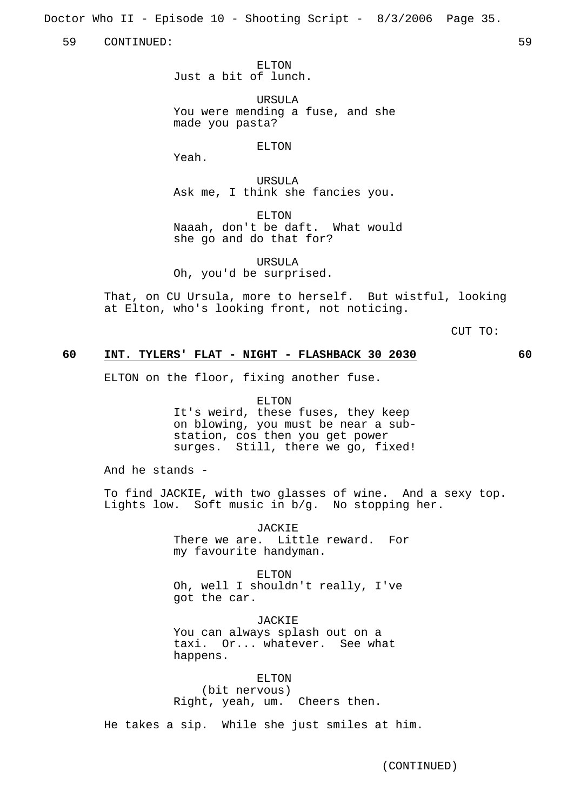Doctor Who II - Episode 10 - Shooting Script - 8/3/2006 Page 35.

59 CONTINUED: 59

ELTON Just a bit of lunch.

URSULA You were mending a fuse, and she made you pasta?

ELTON

Yeah.

URSULA Ask me, I think she fancies you.

ELTON Naaah, don't be daft. What would she go and do that for?

URSULA Oh, you'd be surprised.

That, on CU Ursula, more to herself. But wistful, looking at Elton, who's looking front, not noticing.

CUT TO:

## **60 INT. TYLERS' FLAT - NIGHT - FLASHBACK 30 2030 60**

ELTON on the floor, fixing another fuse.

ELTON It's weird, these fuses, they keep on blowing, you must be near a substation, cos then you get power surges. Still, there we go, fixed!

And he stands -

To find JACKIE, with two glasses of wine. And a sexy top. Lights low. Soft music in b/g. No stopping her.

> JACKIE There we are. Little reward. For my favourite handyman.

ELTON Oh, well I shouldn't really, I've got the car.

JACKIE You can always splash out on a taxi. Or... whatever. See what happens.

ELTON (bit nervous) Right, yeah, um. Cheers then.

He takes a sip. While she just smiles at him.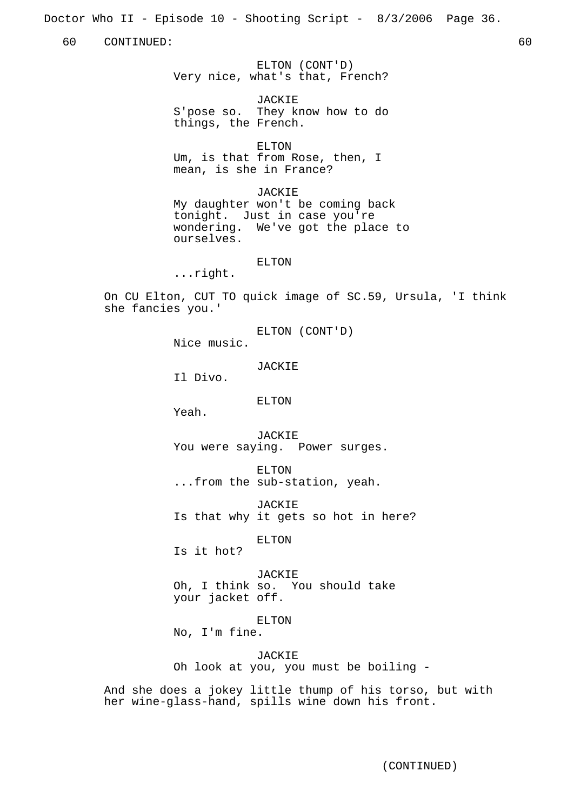Doctor Who II - Episode 10 - Shooting Script - 8/3/2006 Page 36.

60 CONTINUED: 60

ELTON (CONT'D) Very nice, what's that, French?

**JACKIE** S'pose so. They know how to do things, the French.

ELTON

Um, is that from Rose, then, I mean, is she in France?

JACKIE

My daughter won't be coming back tonight. Just in case you're wondering. We've got the place to ourselves.

ELTON

...right.

On CU Elton, CUT TO quick image of SC.59, Ursula, 'I think she fancies you.'

ELTON (CONT'D)

Nice music.

JACKIE

Il Divo.

ELTON

Yeah.

JACKIE You were saying. Power surges.

ELTON ...from the sub-station, yeah.

JACKIE Is that why it gets so hot in here?

ELTON

Is it hot?

JACKIE Oh, I think so. You should take your jacket off.

ELTON

No, I'm fine.

JACKIE Oh look at you, you must be boiling -

And she does a jokey little thump of his torso, but with her wine-glass-hand, spills wine down his front.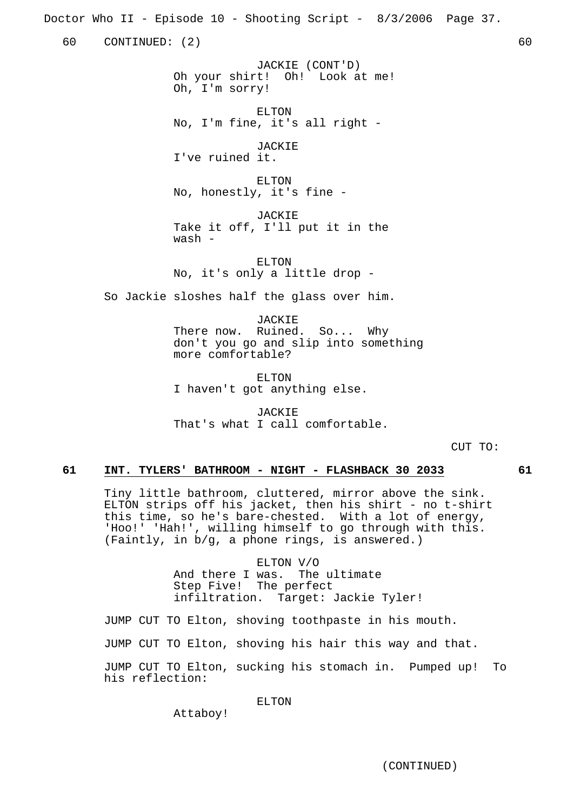Doctor Who II - Episode 10 - Shooting Script - 8/3/2006 Page 37.

60 CONTINUED: (2) 60

JACKIE (CONT'D) Oh your shirt! Oh! Look at me! Oh, I'm sorry!

ELTON No, I'm fine, it's all right -

**JACKIE** I've ruined it.

ELTON No, honestly, it's fine -

JACKIE Take it off, I'll put it in the wash -

ELTON No, it's only a little drop -

So Jackie sloshes half the glass over him.

JACKIE There now. Ruined. So... Why don't you go and slip into something more comfortable?

ELTON I haven't got anything else.

JACKIE That's what I call comfortable.

CUT TO:

## **61 INT. TYLERS' BATHROOM - NIGHT - FLASHBACK 30 2033 61**

Tiny little bathroom, cluttered, mirror above the sink. ELTON strips off his jacket, then his shirt - no t-shirt this time, so he's bare-chested. With a lot of energy, 'Hoo!' 'Hah!', willing himself to go through with this. (Faintly, in b/g, a phone rings, is answered.)

> ELTON V/O And there I was. The ultimate Step Five! The perfect infiltration. Target: Jackie Tyler!

JUMP CUT TO Elton, shoving toothpaste in his mouth.

JUMP CUT TO Elton, shoving his hair this way and that.

JUMP CUT TO Elton, sucking his stomach in. Pumped up! To his reflection:

ELTON

Attaboy!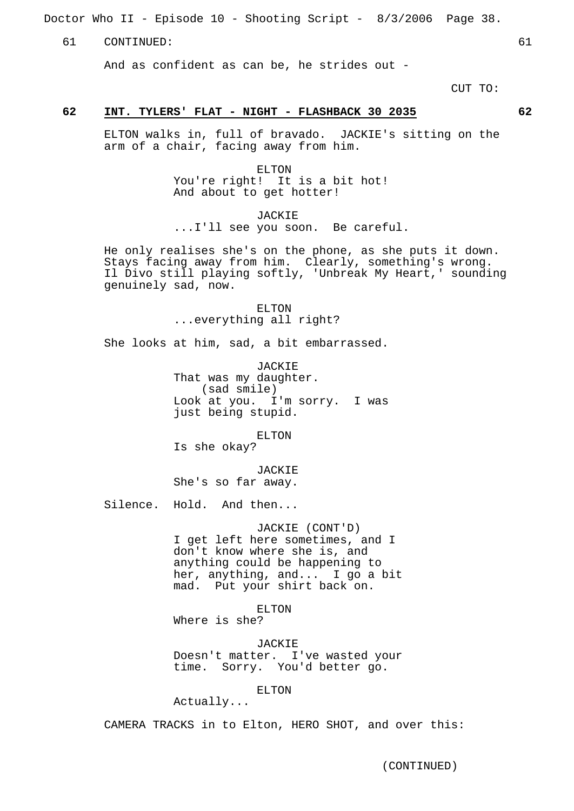Doctor Who II - Episode 10 - Shooting Script - 8/3/2006 Page 38.

61 CONTINUED: 61

And as confident as can be, he strides out -

CUT TO:

#### **62 INT. TYLERS' FLAT - NIGHT - FLASHBACK 30 2035 62**

ELTON walks in, full of bravado. JACKIE's sitting on the arm of a chair, facing away from him.

> ELTON You're right! It is a bit hot! And about to get hotter!

JACKIE ...I'll see you soon. Be careful.

He only realises she's on the phone, as she puts it down. Stays facing away from him. Clearly, something's wrong. Il Divo still playing softly, 'Unbreak My Heart,' sounding genuinely sad, now.

> ELTON ...everything all right?

She looks at him, sad, a bit embarrassed.

JACKIE That was my daughter. (sad smile) Look at you. I'm sorry. I was just being stupid.

ELTON

Is she okay?

JACKIE She's so far away.

Silence. Hold. And then...

JACKIE (CONT'D) I get left here sometimes, and I don't know where she is, and anything could be happening to her, anything, and... I go a bit mad. Put your shirt back on.

ELTON Where is she?

JACKIE

Doesn't matter. I've wasted your time. Sorry. You'd better go.

ELTON

Actually...

CAMERA TRACKS in to Elton, HERO SHOT, and over this: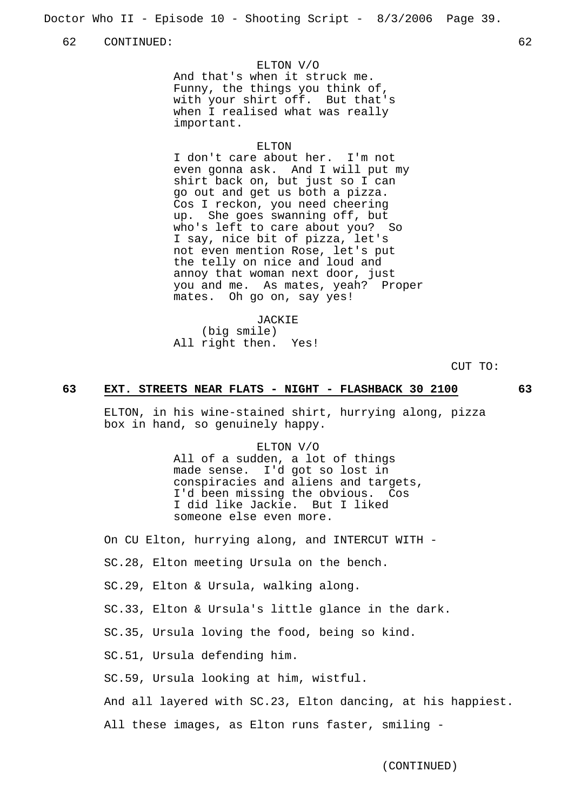Doctor Who II - Episode 10 - Shooting Script - 8/3/2006 Page 39.

62 CONTINUED: 62

#### ELTON V/O

And that's when it struck me. Funny, the things you think of, with your shirt off. But that's when I realised what was really important.

#### ELTON

I don't care about her. I'm not even gonna ask. And I will put my shirt back on, but just so I can go out and get us both a pizza. Cos I reckon, you need cheering up. She goes swanning off, but who's left to care about you? So I say, nice bit of pizza, let's not even mention Rose, let's put the telly on nice and loud and annoy that woman next door, just you and me. As mates, yeah? Proper mates. Oh go on, say yes!

JACKIE (big smile) All right then. Yes!

CUT TO:

#### **63 EXT. STREETS NEAR FLATS - NIGHT - FLASHBACK 30 2100 63**

ELTON, in his wine-stained shirt, hurrying along, pizza box in hand, so genuinely happy.

> ELTON V/O All of a sudden, a lot of things made sense. I'd got so lost in conspiracies and aliens and targets, I'd been missing the obvious. Cos I did like Jackie. But I liked someone else even more.

On CU Elton, hurrying along, and INTERCUT WITH -

SC.28, Elton meeting Ursula on the bench.

SC.29, Elton & Ursula, walking along.

SC.33, Elton & Ursula's little glance in the dark.

SC.35, Ursula loving the food, being so kind.

SC.51, Ursula defending him.

SC.59, Ursula looking at him, wistful.

And all layered with SC.23, Elton dancing, at his happiest.

All these images, as Elton runs faster, smiling -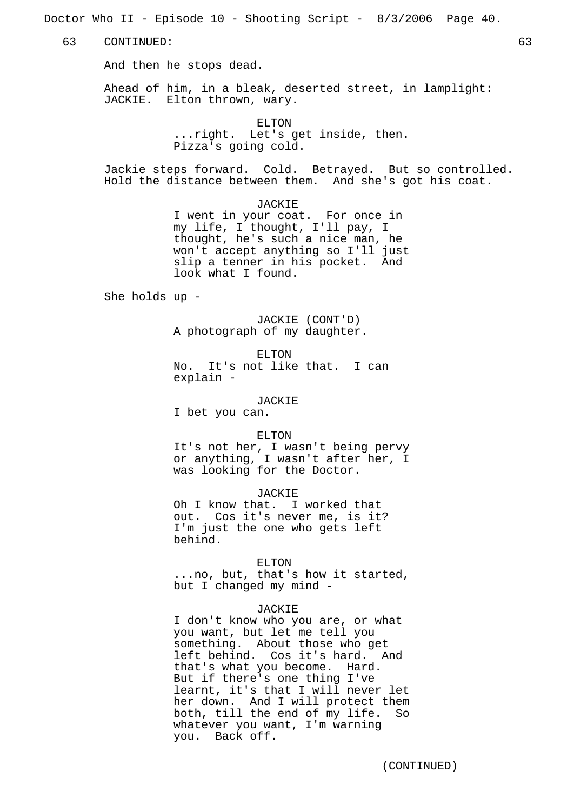Doctor Who II - Episode 10 - Shooting Script - 8/3/2006 Page 40.

63 CONTINUED: 63

And then he stops dead.

Ahead of him, in a bleak, deserted street, in lamplight: JACKIE. Elton thrown, wary.

> ELTON ...right. Let's get inside, then. Pizza's going cold.

Jackie steps forward. Cold. Betrayed. But so controlled. Hold the distance between them. And she's got his coat.

JACKIE

I went in your coat. For once in my life, I thought, I'll pay, I thought, he's such a nice man, he won't accept anything so I'll just slip a tenner in his pocket. And look what I found.

She holds up -

JACKIE (CONT'D) A photograph of my daughter.

ELTON

No. It's not like that. I can explain -

JACKIE

I bet you can.

#### ELTON

It's not her, I wasn't being pervy or anything, I wasn't after her, I was looking for the Doctor.

JACKIE

Oh I know that. I worked that out. Cos it's never me, is it? I'm just the one who gets left behind.

ELTON

...no, but, that's how it started, but I changed my mind -

#### JACKIE

I don't know who you are, or what you want, but let me tell you something. About those who get left behind. Cos it's hard. And that's what you become. Hard. But if there's one thing I've learnt, it's that I will never let her down. And I will protect them both, till the end of my life. So whatever you want, I'm warning you. Back off.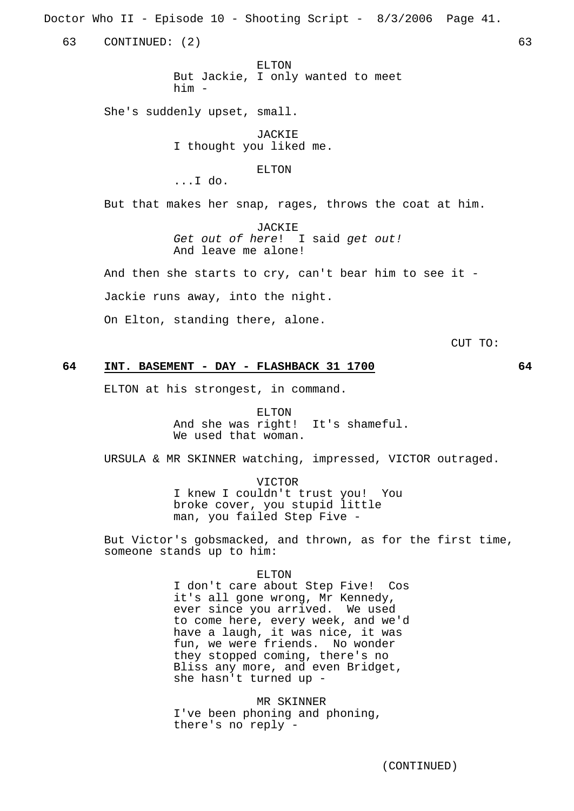Doctor Who II - Episode 10 - Shooting Script - 8/3/2006 Page 41.

63 CONTINUED: (2) 63

ELTON But Jackie, I only wanted to meet him -

She's suddenly upset, small.

**JACKIE** I thought you liked me.

ELTON

...I do.

But that makes her snap, rages, throws the coat at him.

JACKIE Get out of here! I said get out! And leave me alone!

And then she starts to cry, can't bear him to see it -

Jackie runs away, into the night.

On Elton, standing there, alone.

CUT TO:

## **64 INT. BASEMENT - DAY - FLASHBACK 31 1700 64**

ELTON at his strongest, in command.

ELTON And she was right! It's shameful. We used that woman.

URSULA & MR SKINNER watching, impressed, VICTOR outraged.

VICTOR I knew I couldn't trust you! You broke cover, you stupid little man, you failed Step Five -

But Victor's gobsmacked, and thrown, as for the first time, someone stands up to him:

ELTON

I don't care about Step Five! Cos it's all gone wrong, Mr Kennedy, ever since you arrived. We used to come here, every week, and we'd have a laugh, it was nice, it was fun, we were friends. No wonder they stopped coming, there's no Bliss any more, and even Bridget, she hasn't turned up -

MR SKINNER I've been phoning and phoning, there's no reply -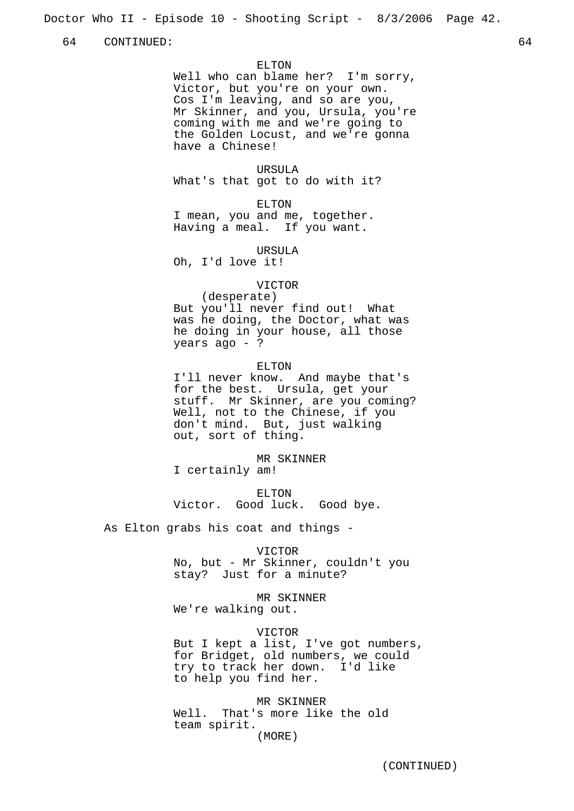Doctor Who II - Episode 10 - Shooting Script - 8/3/2006 Page 42.

64 CONTINUED: 64

ELTON

Well who can blame her? I'm sorry, Victor, but you're on your own. Cos I'm leaving, and so are you, Mr Skinner, and you, Ursula, you're coming with me and we're going to the Golden Locust, and we're gonna have a Chinese!

URSULA

What's that got to do with it?

ELTON

I mean, you and me, together. Having a meal. If you want.

URSULA Oh, I'd love it!

#### VICTOR

(desperate) But you'll never find out! What was he doing, the Doctor, what was he doing in your house, all those years ago - ?

#### ELTON

I'll never know. And maybe that's for the best. Ursula, get your stuff. Mr Skinner, are you coming? Well, not to the Chinese, if you don't mind. But, just walking out, sort of thing.

MR SKINNER

I certainly am!

ELTON Victor. Good luck. Good bye.

As Elton grabs his coat and things -

#### VICTOR

No, but - Mr Skinner, couldn't you stay? Just for a minute?

MR SKINNER

We're walking out.

## VICTOR

But I kept a list, I've got numbers, for Bridget, old numbers, we could try to track her down. I'd like to help you find her.

MR SKINNER

Well. That's more like the old team spirit. (MORE)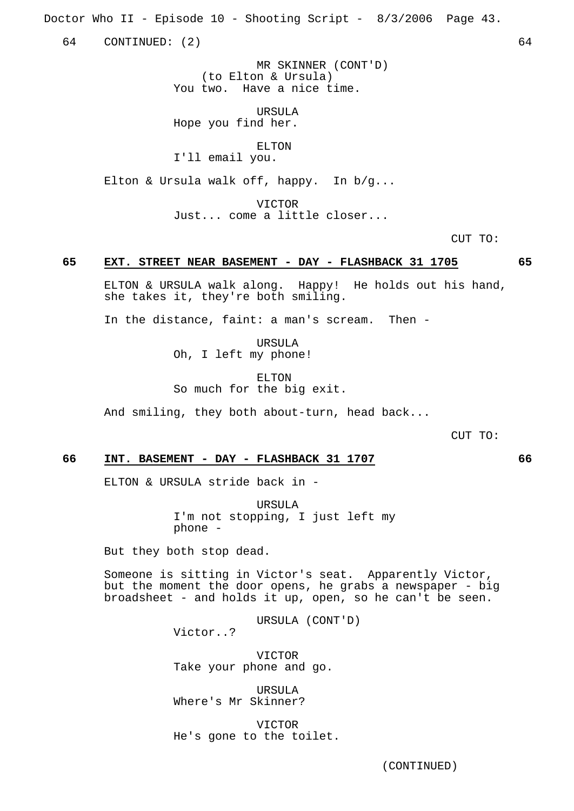Doctor Who II - Episode 10 - Shooting Script - 8/3/2006 Page 43.

64 CONTINUED: (2) 64

MR SKINNER (CONT'D) (to Elton & Ursula) You two. Have a nice time.

IIRSIILA Hope you find her.

ELTON

I'll email you.

Elton & Ursula walk off, happy. In b/g...

VICTOR Just... come a little closer...

CUT TO:

## **65 EXT. STREET NEAR BASEMENT - DAY - FLASHBACK 31 1705 65**

ELTON & URSULA walk along. Happy! He holds out his hand, she takes it, they're both smiling.

In the distance, faint: a man's scream. Then -

URSULA Oh, I left my phone!

ELTON So much for the big exit.

And smiling, they both about-turn, head back...

CUT TO:

#### **66 INT. BASEMENT - DAY - FLASHBACK 31 1707 66**

ELTON & URSULA stride back in -

URSULA I'm not stopping, I just left my phone -

But they both stop dead.

Someone is sitting in Victor's seat. Apparently Victor, but the moment the door opens, he grabs a newspaper - big broadsheet - and holds it up, open, so he can't be seen.

URSULA (CONT'D)

Victor..?

VICTOR Take your phone and go.

URSULA Where's Mr Skinner?

VICTOR He's gone to the toilet.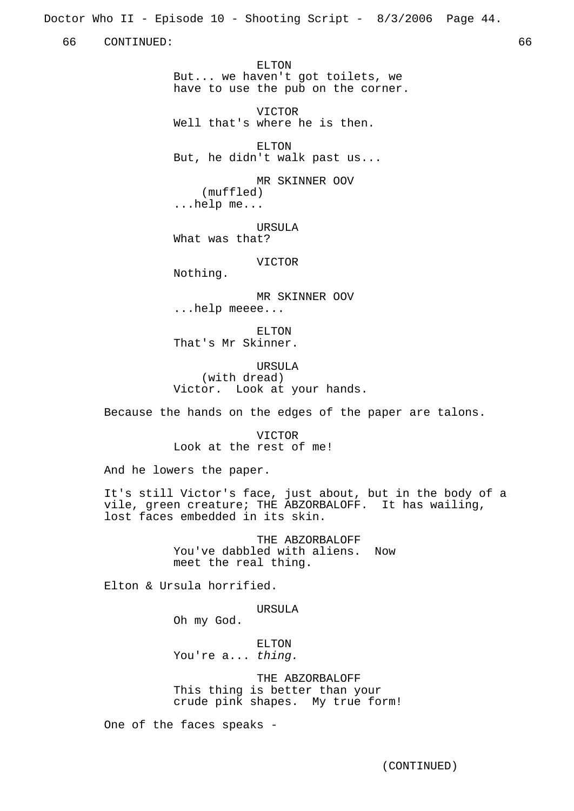Doctor Who II - Episode 10 - Shooting Script - 8/3/2006 Page 44.

66 CONTINUED: 66

ELTON But... we haven't got toilets, we have to use the pub on the corner.

VICTOR Well that's where he is then.

ELTON But, he didn't walk past us...

MR SKINNER OOV (muffled) ...help me...

URSULA What was that?

VICTOR

Nothing.

MR SKINNER OOV ...help meeee...

ELTON That's Mr Skinner.

URSULA (with dread) Victor. Look at your hands.

Because the hands on the edges of the paper are talons.

VICTOR Look at the rest of me!

And he lowers the paper.

It's still Victor's face, just about, but in the body of a vile, green creature; THE ABZORBALOFF. It has wailing, lost faces embedded in its skin.

> THE ABZORBALOFF You've dabbled with aliens. Now meet the real thing.

Elton & Ursula horrified.

URSULA

Oh my God.

ELTON You're a... thing.

THE ABZORBALOFF This thing is better than your crude pink shapes. My true form!

One of the faces speaks -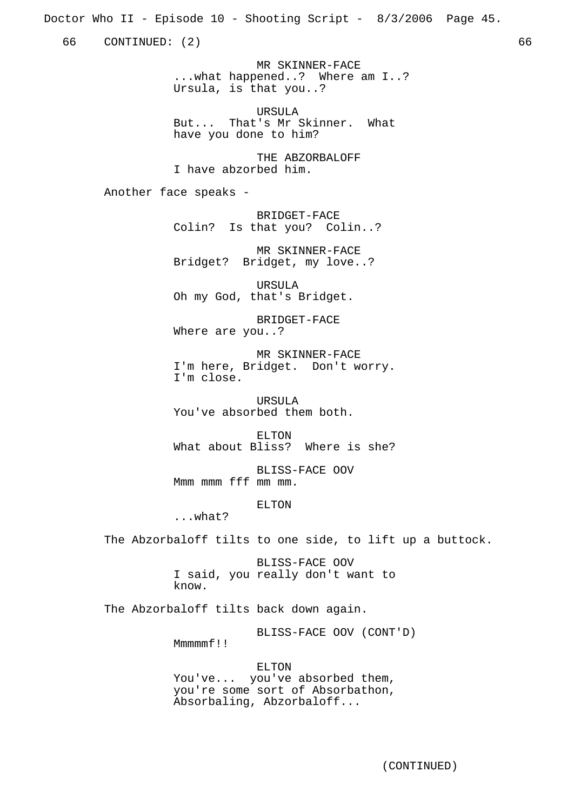Doctor Who II - Episode 10 - Shooting Script - 8/3/2006 Page 45.

66 CONTINUED: (2) 66

MR SKINNER-FACE ...what happened..? Where am I..? Ursula, is that you..?

IIR SIILA But... That's Mr Skinner. What have you done to him?

THE ABZORBALOFF I have abzorbed him.

Another face speaks -

BRIDGET-FACE Colin? Is that you? Colin..?

MR SKINNER-FACE Bridget? Bridget, my love..?

URSULA Oh my God, that's Bridget.

BRIDGET-FACE Where are you..?

MR SKINNER-FACE I'm here, Bridget. Don't worry. I'm close.

URSULA You've absorbed them both.

ELTON What about Bliss? Where is she?

BLISS-FACE OOV Mmm mmm fff mm mm.

ELTON

...what?

The Abzorbaloff tilts to one side, to lift up a buttock.

BLISS-FACE OOV I said, you really don't want to know.

The Abzorbaloff tilts back down again.

BLISS-FACE OOV (CONT'D)

Mmmmmf!!

ELTON You've... you've absorbed them, you're some sort of Absorbathon, Absorbaling, Abzorbaloff...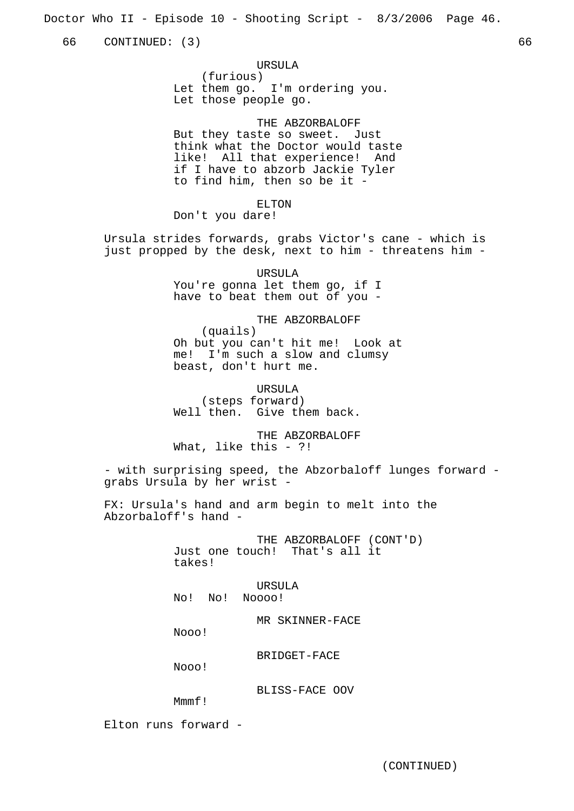Doctor Who II - Episode 10 - Shooting Script - 8/3/2006 Page 46.

66 CONTINUED: (3) 66

URSULA (furious) Let them go. I'm ordering you. Let those people go.

THE ABZORBALOFF But they taste so sweet. Just think what the Doctor would taste like! All that experience! And if I have to abzorb Jackie Tyler to find him, then so be it -

ELTON Don't you dare!

Ursula strides forwards, grabs Victor's cane - which is just propped by the desk, next to him - threatens him -

> URSULA You're gonna let them go, if I have to beat them out of you -

THE ABZORBALOFF (quails) Oh but you can't hit me! Look at me! I'm such a slow and clumsy beast, don't hurt me.

URSULA (steps forward) Well then. Give them back.

THE ABZORBALOFF What, like this - ?!

- with surprising speed, the Abzorbaloff lunges forward grabs Ursula by her wrist -

FX: Ursula's hand and arm begin to melt into the Abzorbaloff's hand -

> THE ABZORBALOFF (CONT'D) Just one touch! That's all it takes!

URSULA No! No! Noooo!

MR SKINNER-FACE

Nooo!

BRIDGET-FACE

Nooo!

BLISS-FACE OOV

Mmmf!

Elton runs forward -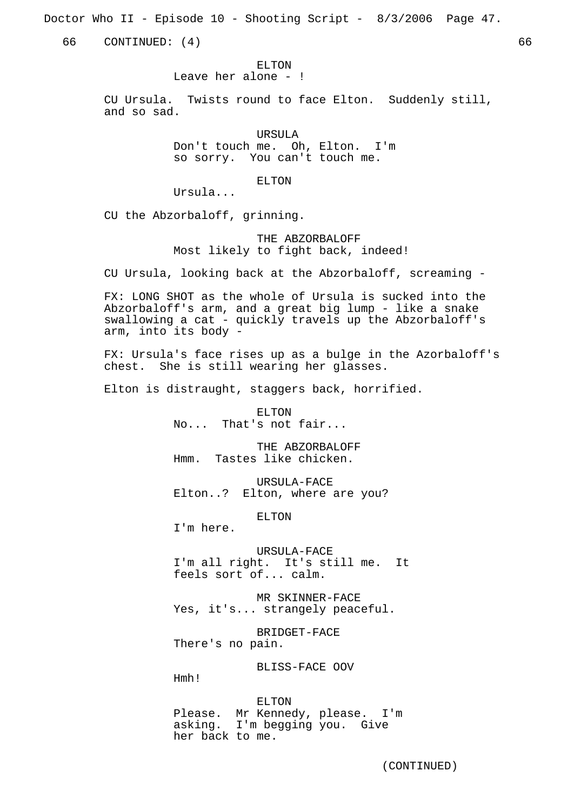Doctor Who II - Episode 10 - Shooting Script - 8/3/2006 Page 47.

66 CONTINUED: (4) 66

ELTON

Leave her alone - !

CU Ursula. Twists round to face Elton. Suddenly still, and so sad.

> URSULA Don't touch me. Oh, Elton. I'm so sorry. You can't touch me.

> > ELTON

Ursula...

CU the Abzorbaloff, grinning.

THE ABZORBALOFF Most likely to fight back, indeed!

CU Ursula, looking back at the Abzorbaloff, screaming -

FX: LONG SHOT as the whole of Ursula is sucked into the Abzorbaloff's arm, and a great big lump - like a snake swallowing a cat - quickly travels up the Abzorbaloff's arm, into its body -

FX: Ursula's face rises up as a bulge in the Azorbaloff's chest. She is still wearing her glasses.

Elton is distraught, staggers back, horrified.

ELTON No... That's not fair...

THE ABZORBALOFF Hmm. Tastes like chicken.

URSULA-FACE Elton..? Elton, where are you?

ELTON

I'm here.

URSULA-FACE I'm all right. It's still me. It feels sort of... calm.

MR SKINNER-FACE Yes, it's... strangely peaceful.

BRIDGET-FACE There's no pain.

BLISS-FACE OOV

Hmh!

ELTON Please. Mr Kennedy, please. I'm asking. I'm begging you. Give her back to me.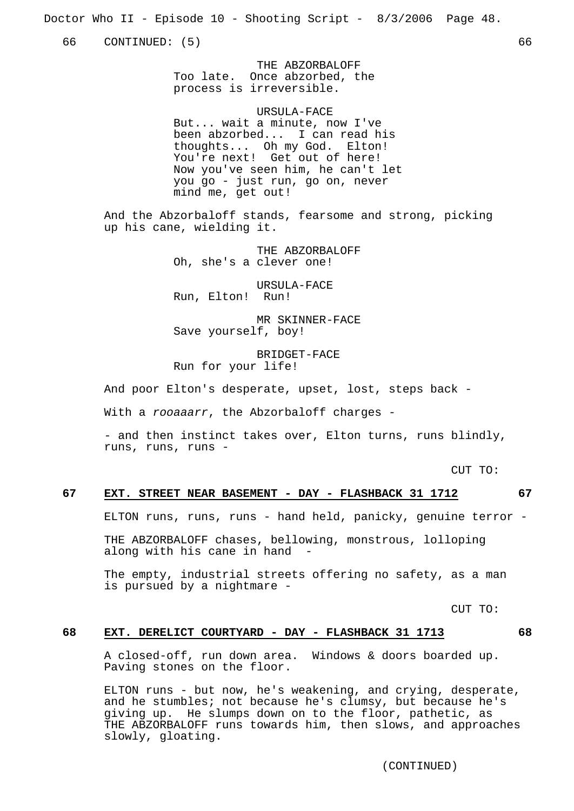Doctor Who II - Episode 10 - Shooting Script - 8/3/2006 Page 48.

66 CONTINUED: (5) 66

THE ABZORBALOFF Too late. Once abzorbed, the process is irreversible.

URSULA-FACE But... wait a minute, now I've been abzorbed... I can read his thoughts... Oh my God. Elton! You're next! Get out of here! Now you've seen him, he can't let you go - just run, go on, never mind me, get out!

And the Abzorbaloff stands, fearsome and strong, picking up his cane, wielding it.

> THE ABZORBALOFF Oh, she's a clever one!

URSULA-FACE Run, Elton! Run!

MR SKINNER-FACE Save yourself, boy!

BRIDGET-FACE Run for your life!

And poor Elton's desperate, upset, lost, steps back -

With a rooaaarr, the Abzorbaloff charges -

- and then instinct takes over, Elton turns, runs blindly, runs, runs, runs -

CUT TO:

## **67 EXT. STREET NEAR BASEMENT - DAY - FLASHBACK 31 1712 67**

ELTON runs, runs, runs - hand held, panicky, genuine terror -

THE ABZORBALOFF chases, bellowing, monstrous, lolloping along with his cane in hand

The empty, industrial streets offering no safety, as a man is pursued by a nightmare -

CUT TO:

## **68 EXT. DERELICT COURTYARD - DAY - FLASHBACK 31 1713 68**

A closed-off, run down area. Windows & doors boarded up. Paving stones on the floor.

ELTON runs - but now, he's weakening, and crying, desperate, and he stumbles; not because he's clumsy, but because he's giving up. He slumps down on to the floor, pathetic, as THE ABZORBALOFF runs towards him, then slows, and approaches slowly, gloating.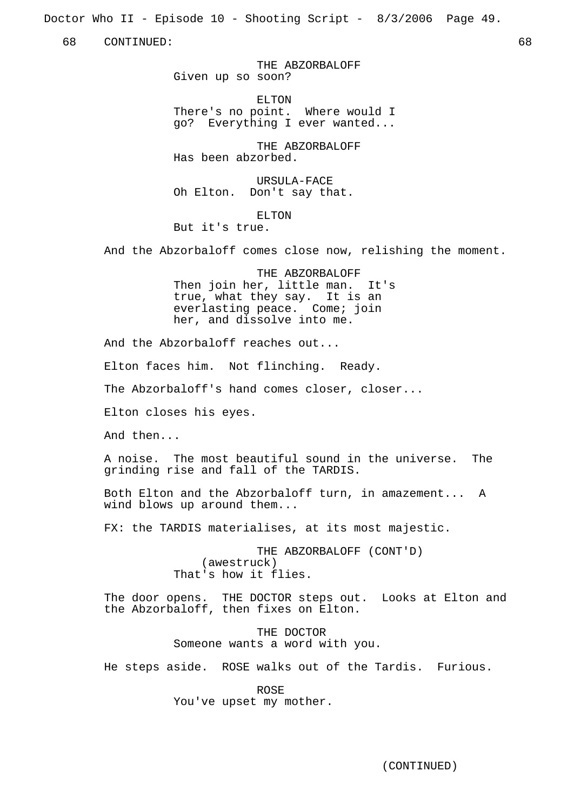Doctor Who II - Episode 10 - Shooting Script - 8/3/2006 Page 49.

68 CONTINUED: 68

THE ABZORBALOFF Given up so soon?

ELTON There's no point. Where would I go? Everything I ever wanted...

THE ABZORBALOFF Has been abzorbed.

URSULA-FACE Oh Elton. Don't say that.

ELTON But it's true.

And the Abzorbaloff comes close now, relishing the moment.

THE ABZORBALOFF Then join her, little man. It's true, what they say. It is an everlasting peace. Come; join her, and dissolve into me.

And the Abzorbaloff reaches out...

Elton faces him. Not flinching. Ready.

The Abzorbaloff's hand comes closer, closer...

Elton closes his eyes.

And then...

A noise. The most beautiful sound in the universe. The grinding rise and fall of the TARDIS.

Both Elton and the Abzorbaloff turn, in amazement... A wind blows up around them...

FX: the TARDIS materialises, at its most majestic.

THE ABZORBALOFF (CONT'D) (awestruck) That's how it flies.

The door opens. THE DOCTOR steps out. Looks at Elton and the Abzorbaloff, then fixes on Elton.

> THE DOCTOR Someone wants a word with you.

He steps aside. ROSE walks out of the Tardis. Furious.

ROSE You've upset my mother.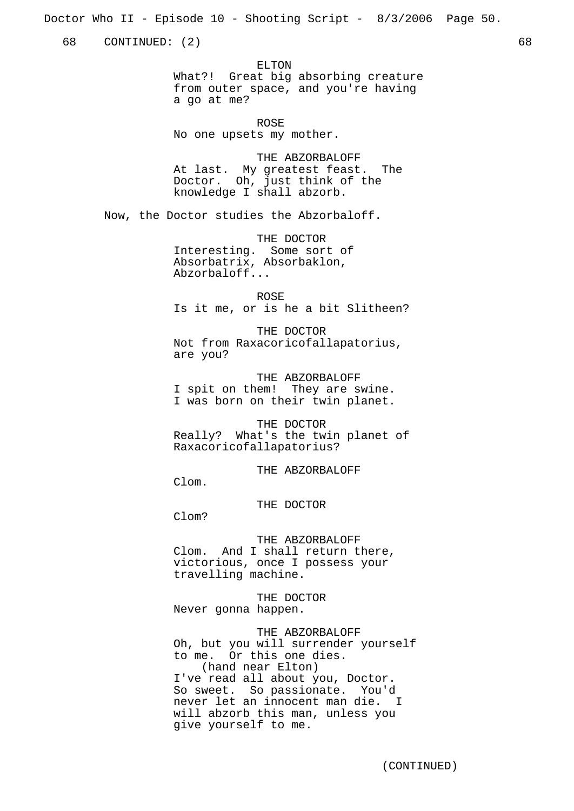Doctor Who II - Episode 10 - Shooting Script - 8/3/2006 Page 50.

68 CONTINUED: (2) 68

ELTON

What?! Great big absorbing creature from outer space, and you're having a go at me?

ROSE No one upsets my mother.

THE ABZORBALOFF At last. My greatest feast. The Doctor. Oh, just think of the knowledge I shall abzorb.

Now, the Doctor studies the Abzorbaloff.

THE DOCTOR Interesting. Some sort of Absorbatrix, Absorbaklon, Abzorbaloff...

ROSE Is it me, or is he a bit Slitheen?

THE DOCTOR Not from Raxacoricofallapatorius, are you?

THE ABZORBALOFF I spit on them! They are swine. I was born on their twin planet.

THE DOCTOR Really? What's the twin planet of Raxacoricofallapatorius?

THE ABZORBALOFF

Clom.

THE DOCTOR

Clom?

THE ABZORBALOFF

Clom. And I shall return there, victorious, once I possess your travelling machine.

THE DOCTOR Never gonna happen.

THE ABZORBALOFF

Oh, but you will surrender yourself to me. Or this one dies. (hand near Elton) I've read all about you, Doctor. So sweet. So passionate. You'd never let an innocent man die. I will abzorb this man, unless you give yourself to me.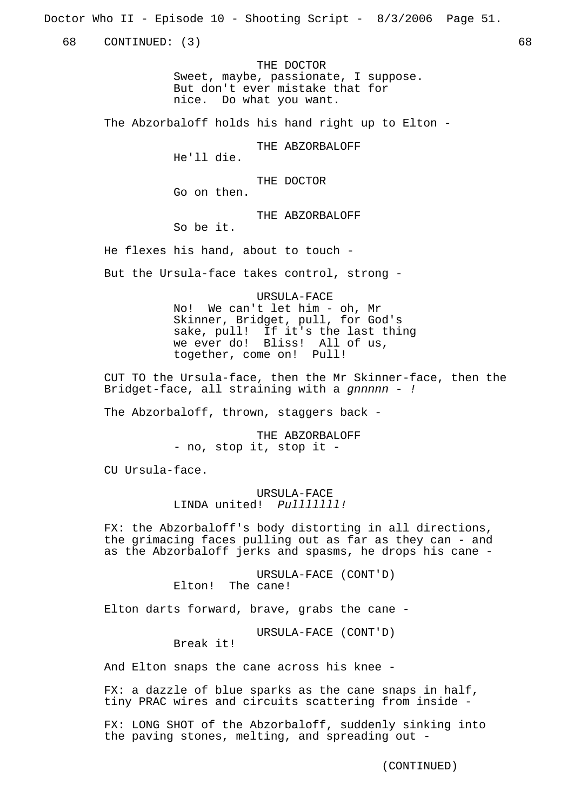Doctor Who II - Episode 10 - Shooting Script - 8/3/2006 Page 51.

68 CONTINUED: (3) 68

THE DOCTOR Sweet, maybe, passionate, I suppose. But don't ever mistake that for nice. Do what you want.

The Abzorbaloff holds his hand right up to Elton -

THE ABZORBALOFF

He'll die.

THE DOCTOR Go on then.

THE ABZORBALOFF So be it.

He flexes his hand, about to touch -

But the Ursula-face takes control, strong -

URSULA-FACE No! We can't let him - oh, Mr Skinner, Bridget, pull, for God's sake, pull! If it's the last thing we ever do! Bliss! All of us, together, come on! Pull!

CUT TO the Ursula-face, then the Mr Skinner-face, then the Bridget-face, all straining with a gnnnnn - !

The Abzorbaloff, thrown, staggers back -

THE ABZORBALOFF - no, stop it, stop it -

CU Ursula-face.

URSULA-FACE LINDA united! Pulllllll!

FX: the Abzorbaloff's body distorting in all directions, the grimacing faces pulling out as far as they can - and as the Abzorbaloff jerks and spasms, he drops his cane -

> URSULA-FACE (CONT'D) Elton! The cane!

Elton darts forward, brave, grabs the cane -

URSULA-FACE (CONT'D)

Break it!

And Elton snaps the cane across his knee -

FX: a dazzle of blue sparks as the cane snaps in half, tiny PRAC wires and circuits scattering from inside -

FX: LONG SHOT of the Abzorbaloff, suddenly sinking into the paving stones, melting, and spreading out -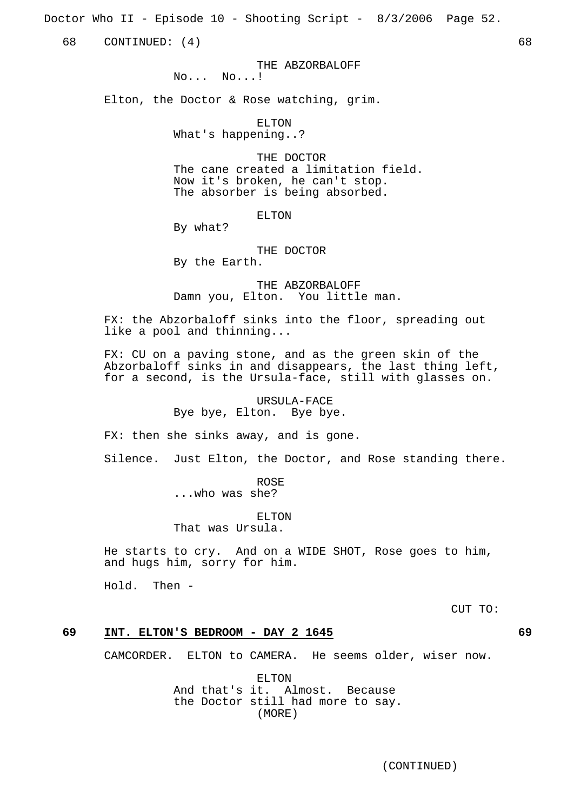Doctor Who II - Episode 10 - Shooting Script - 8/3/2006 Page 52.

68 CONTINUED: (4) 68

THE ABZORBALOFF

No... No...!

Elton, the Doctor & Rose watching, grim.

ELTON What's happening..?

THE DOCTOR

The cane created a limitation field. Now it's broken, he can't stop. The absorber is being absorbed.

ELTON

By what?

THE DOCTOR By the Earth.

THE ABZORBALOFF Damn you, Elton. You little man.

FX: the Abzorbaloff sinks into the floor, spreading out like a pool and thinning...

FX: CU on a paving stone, and as the green skin of the Abzorbaloff sinks in and disappears, the last thing left, for a second, is the Ursula-face, still with glasses on.

#### URSULA-FACE Bye bye, Elton. Bye bye.

FX: then she sinks away, and is gone.

Silence. Just Elton, the Doctor, and Rose standing there.

ROSE ...who was she?

ELTON

That was Ursula.

He starts to cry. And on a WIDE SHOT, Rose goes to him, and hugs him, sorry for him.

Hold. Then -

CUT TO:

## **69 INT. ELTON'S BEDROOM - DAY 2 1645 69**

CAMCORDER. ELTON to CAMERA. He seems older, wiser now.

ELTON And that's it. Almost. Because the Doctor still had more to say. (MORE)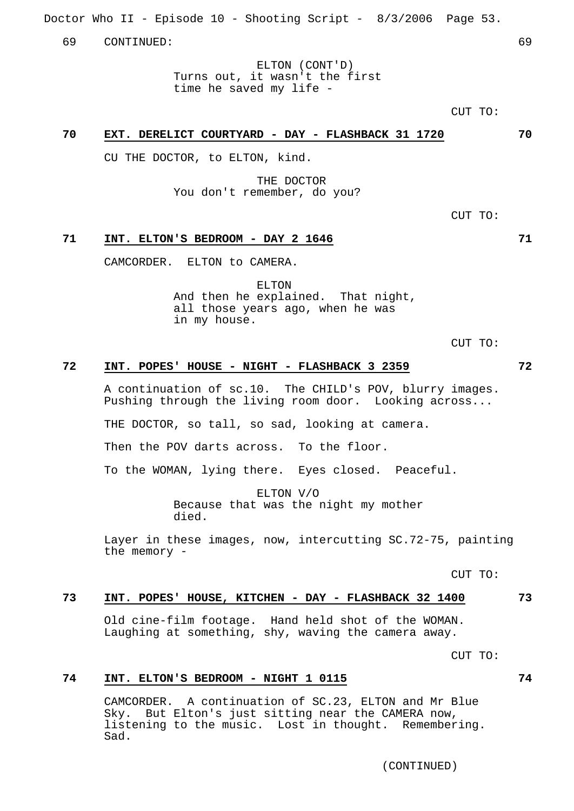Doctor Who II - Episode 10 - Shooting Script - 8/3/2006 Page 53.

69 CONTINUED: 69

ELTON (CONT'D) Turns out, it wasn't the first time he saved my life -

 $C$ IIT TO:

## **70 EXT. DERELICT COURTYARD - DAY - FLASHBACK 31 1720 70**

CU THE DOCTOR, to ELTON, kind.

THE DOCTOR You don't remember, do you?

CUT TO:

#### **71 INT. ELTON'S BEDROOM - DAY 2 1646 71**

CAMCORDER. ELTON to CAMERA.

ELTON And then he explained. That night, all those years ago, when he was in my house.

CUT TO:

## **72 INT. POPES' HOUSE - NIGHT - FLASHBACK 3 2359 72**

A continuation of sc.10. The CHILD's POV, blurry images. Pushing through the living room door. Looking across...

THE DOCTOR, so tall, so sad, looking at camera.

Then the POV darts across. To the floor.

To the WOMAN, lying there. Eyes closed. Peaceful.

ELTON V/O Because that was the night my mother died.

Layer in these images, now, intercutting SC.72-75, painting the memory -

CUT TO:

## **73 INT. POPES' HOUSE, KITCHEN - DAY - FLASHBACK 32 1400 73**

Old cine-film footage. Hand held shot of the WOMAN. Laughing at something, shy, waving the camera away.

CUT TO:

## **74 INT. ELTON'S BEDROOM - NIGHT 1 0115 74**

CAMCORDER. A continuation of SC.23, ELTON and Mr Blue Sky. But Elton's just sitting near the CAMERA now, listening to the music. Lost in thought. Remembering. Sad.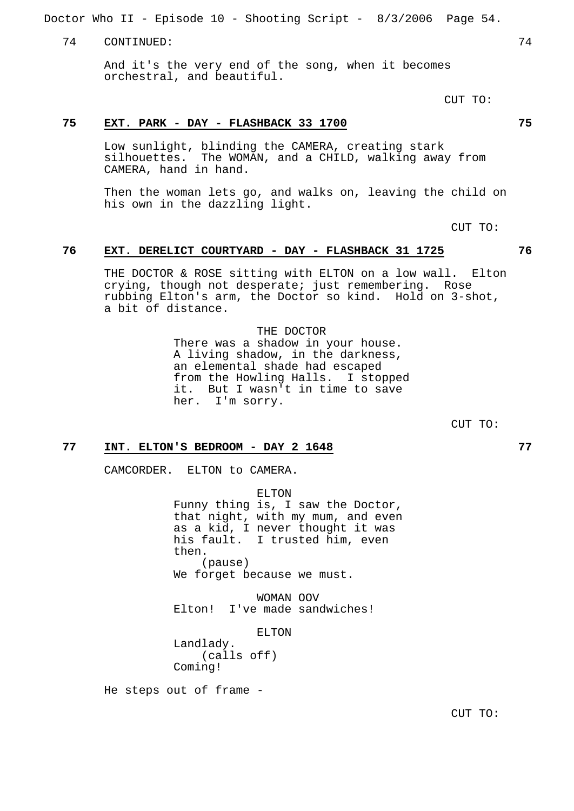Doctor Who II - Episode 10 - Shooting Script - 8/3/2006 Page 54.

74 CONTINUED: 74

And it's the very end of the song, when it becomes orchestral, and beautiful.

CUT TO:

## **75 EXT. PARK - DAY - FLASHBACK 33 1700 75**

Low sunlight, blinding the CAMERA, creating stark silhouettes. The WOMAN, and a CHILD, walking away from CAMERA, hand in hand.

Then the woman lets go, and walks on, leaving the child on his own in the dazzling light.

CUT TO:

## **76 EXT. DERELICT COURTYARD - DAY - FLASHBACK 31 1725 76**

THE DOCTOR & ROSE sitting with ELTON on a low wall. Elton crying, though not desperate; just remembering. Rose rubbing Elton's arm, the Doctor so kind. Hold on 3-shot, a bit of distance.

> THE DOCTOR There was a shadow in your house. A living shadow, in the darkness, an elemental shade had escaped from the Howling Halls. I stopped it. But I wasn't in time to save her. I'm sorry.

> > CUT TO:

## **77 INT. ELTON'S BEDROOM - DAY 2 1648 77**

CAMCORDER. ELTON to CAMERA.

ELTON Funny thing is, I saw the Doctor, that night, with my mum, and even as a kid, I never thought it was his fault. I trusted him, even then. (pause) We forget because we must.

WOMAN OOV Elton! I've made sandwiches!

ELTON Landlady. (calls off) Coming!

He steps out of frame -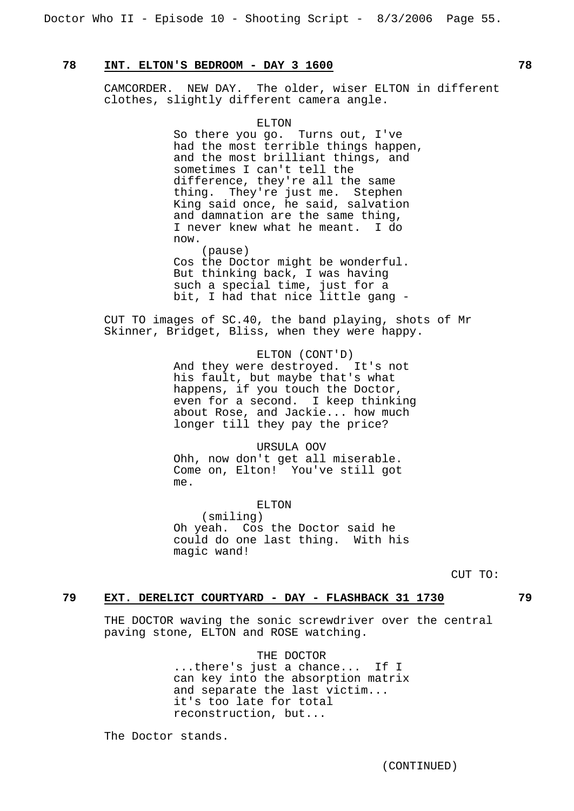## **78 INT. ELTON'S BEDROOM - DAY 3 1600 78**

CAMCORDER. NEW DAY. The older, wiser ELTON in different clothes, slightly different camera angle.

> ELTON So there you go. Turns out, I've had the most terrible things happen, and the most brilliant things, and sometimes I can't tell the difference, they're all the same thing. They're just me. Stephen King said once, he said, salvation and damnation are the same thing, I never knew what he meant. I do now. (pause)

Cos the Doctor might be wonderful. But thinking back, I was having such a special time, just for a bit, I had that nice little gang -

CUT TO images of SC.40, the band playing, shots of Mr Skinner, Bridget, Bliss, when they were happy.

> ELTON (CONT'D) And they were destroyed. It's not his fault, but maybe that's what happens, if you touch the Doctor, even for a second. I keep thinking about Rose, and Jackie... how much longer till they pay the price?

URSULA OOV Ohh, now don't get all miserable. Come on, Elton! You've still got me.

ELTON (smiling) Oh yeah. Cos the Doctor said he could do one last thing. With his magic wand!

CUT TO:

## **79 EXT. DERELICT COURTYARD - DAY - FLASHBACK 31 1730 79**

THE DOCTOR waving the sonic screwdriver over the central paving stone, ELTON and ROSE watching.

> THE DOCTOR ...there's just a chance... If I can key into the absorption matrix and separate the last victim... it's too late for total reconstruction, but...

The Doctor stands.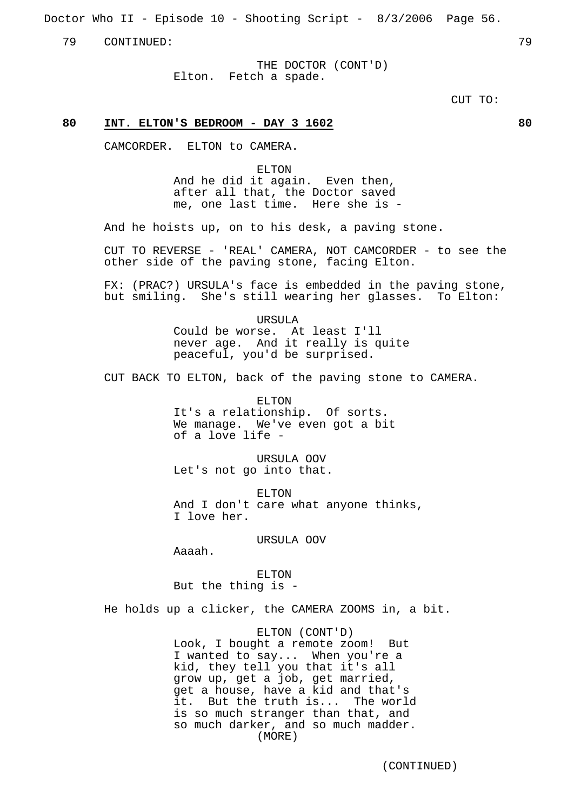Doctor Who II - Episode 10 - Shooting Script - 8/3/2006 Page 56.

79 CONTINUED: 79

THE DOCTOR (CONT'D) Elton. Fetch a spade.

CUT TO:

## **80 INT. ELTON'S BEDROOM - DAY 3 1602 80**

CAMCORDER. ELTON to CAMERA.

ELTON And he did it again. Even then, after all that, the Doctor saved me, one last time. Here she is -

And he hoists up, on to his desk, a paving stone.

CUT TO REVERSE - 'REAL' CAMERA, NOT CAMCORDER - to see the other side of the paving stone, facing Elton.

FX: (PRAC?) URSULA's face is embedded in the paving stone, but smiling. She's still wearing her glasses. To Elton:

> URSULA Could be worse. At least I'll never age. And it really is quite peaceful, you'd be surprised.

CUT BACK TO ELTON, back of the paving stone to CAMERA.

ELTON It's a relationship. Of sorts. We manage. We've even got a bit of a love life -

URSULA OOV Let's not go into that.

ELTON And I don't care what anyone thinks, I love her.

URSULA OOV

Aaaah.

ELTON But the thing is -

He holds up a clicker, the CAMERA ZOOMS in, a bit.

ELTON (CONT'D) Look, I bought a remote zoom! But I wanted to say... When you're a kid, they tell you that it's all grow up, get a job, get married, get a house, have a kid and that's it. But the truth is... The world is so much stranger than that, and so much darker, and so much madder. (MORE)